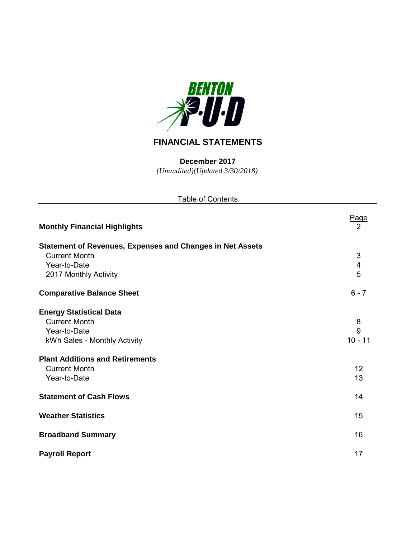

# **FINANCIAL STATEMENTS**

*(Unaudited)(Updated 3/30/2018)* **December 2017**

| <b>Table of Contents</b>                                                                 |             |
|------------------------------------------------------------------------------------------|-------------|
| <b>Monthly Financial Highlights</b>                                                      | Page<br>2   |
| <b>Statement of Revenues, Expenses and Changes in Net Assets</b><br><b>Current Month</b> |             |
| Year-to-Date<br>2017 Monthly Activity                                                    | 3<br>4<br>5 |
| <b>Comparative Balance Sheet</b>                                                         | $6 - 7$     |
| <b>Energy Statistical Data</b>                                                           |             |
| <b>Current Month</b><br>Year-to-Date                                                     | 8<br>9      |
| kWh Sales - Monthly Activity                                                             | $10 - 11$   |
| <b>Plant Additions and Retirements</b><br><b>Current Month</b>                           | 12          |
| Year-to-Date                                                                             | 13          |
| <b>Statement of Cash Flows</b>                                                           | 14          |
| <b>Weather Statistics</b>                                                                | 15          |
| <b>Broadband Summary</b>                                                                 | 16          |
| <b>Payroll Report</b>                                                                    | 17          |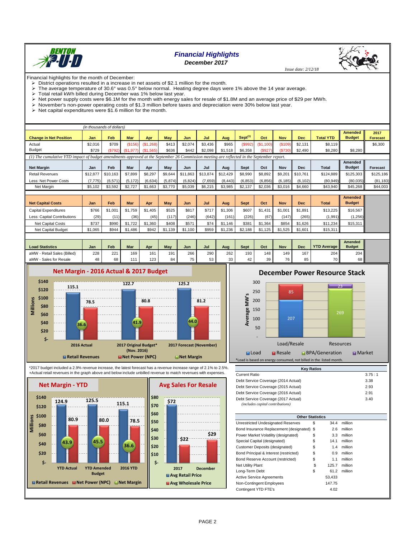

# *Financial Highlights December 2017*



Financial highlights for the month of December:

 $\triangleright$  District operations resulted in a increase in net assets of \$2.1 million for the month.

The average temperature of 30.6° was 0.5° below normal. Heating degree days were 1% above the 14 year average.

- $\triangleright$  Total retail kWh billed during December was 1% below last year.<br> $\triangleright$  Net nower supply costs were \$6.1M for the month with energy sa  $\triangleright$  Net power supply costs were \$6.1M for the month with energy sales for resale of \$1.8M and an average price of \$29 per MWh.
- $\triangleright$  November's non-power operating costs of \$1.3 million before taxes and depreciation were 30% below last year.
- Net capital expenditures were  $$1.6$  million for the month.

|                                                                                                                                           |          | (in thousands of dollars) |          |                       |         |          |          |          |                     |           |            |            |                  |                                 |                         |
|-------------------------------------------------------------------------------------------------------------------------------------------|----------|---------------------------|----------|-----------------------|---------|----------|----------|----------|---------------------|-----------|------------|------------|------------------|---------------------------------|-------------------------|
| <b>Change in Net Position</b>                                                                                                             | Jan      | Feb                       | Mar      | Apr                   | Mav     | Jun      | Jul      | Aua      | Sept <sup>(1)</sup> | Oct       | <b>Nov</b> | <b>Dec</b> | <b>Total YTD</b> | <b>Amended</b><br><b>Budget</b> | 2017<br><b>Forecast</b> |
| Actual                                                                                                                                    | \$2.016  | \$709                     | (S156)   | (\$1,268)             | \$413   | \$2.074  | \$3.436  | \$965    | (S992)              | (\$1,100) | (\$109     | \$2.131    | \$8.119          |                                 | \$6,300                 |
| <b>Budget</b>                                                                                                                             | \$729    | (\$792)                   |          | $(S1,977)$ $(S1,565)$ | \$636   | \$442    | \$2.098  | \$1,518  | \$6,358             | (\$927)   | \$730      | \$2,490    | \$8,280          | $$8,280$                        |                         |
| (1) The cumulative YTD impact of budget amendments approved at the September 26 Commission meeting are reflected in the September report. |          |                           |          |                       |         |          |          |          |                     |           |            |            |                  |                                 |                         |
|                                                                                                                                           |          |                           |          |                       |         |          |          |          |                     |           |            |            |                  | Amended                         |                         |
| <b>Net Margin</b>                                                                                                                         | Jan      | Feb                       | Mar      | Apr                   | Mav     | Jun      | Jul      | Aug      | Sept                | Oct       | Nov        | <b>Dec</b> | Total            | <b>Budget</b>                   | <b>Forecast</b>         |
| <b>Retail Revenues</b>                                                                                                                    | \$12,877 | \$10.163                  | \$7,899  | \$8,297               | \$9.644 | \$11,863 | \$13,874 | \$12,429 | \$8,990             | \$8,892   | \$9,201    | \$10.761   | \$124.889        | \$125,303                       | \$125,186               |
| Less: Net Power Costs                                                                                                                     | (7, 775) | (6, 571)                  | (5, 172) | (6,634)               | (5,874) | (6, 824) | (7,659)  | (8, 443) | (6, 853)            | (6,856)   | (6, 185)   | (6, 102)   | (80, 949)        | (80,035)                        | (81, 183)               |
| Net Margin                                                                                                                                | \$5,102  | \$3,592                   | \$2.727  | \$1,663               | \$3,770 | \$5,039  | \$6,215  | \$3,985  | \$2,137             | \$2,036   | \$3,016    | \$4,660    | \$43,940         | \$45,268                        | \$44,003                |
|                                                                                                                                           |          |                           |          |                       |         |          |          |          |                     |           |            |            |                  |                                 |                         |

|                             |         |         |            |         |         |         |       |         |             |         |            |            |              | <b>Amended</b> |
|-----------------------------|---------|---------|------------|---------|---------|---------|-------|---------|-------------|---------|------------|------------|--------------|----------------|
| <b>Net Capital Costs</b>    | Jan     | Feb     | <b>Mar</b> | Apr     | May     | Jun     | Jul   | Aug     | <b>Sept</b> | Oct     | <b>Nov</b> | <b>Dec</b> | <b>Total</b> | <b>Budget</b>  |
| Capital Expenditures        | \$766   | \$1,001 | \$1.759    | \$1,405 | \$525   | \$817   | \$717 | \$1.306 | \$607       | \$1.431 | $$1,00^*$  | \$1,891    | \$13.225     | \$16,567       |
| Less: Capital Contributions | (29)    | (11)    | (36)       | (45)    | (117)   | (246)   | (642) | (161)   | (226)       | (67)    | (147)      | (265)      | (1,991)      | (1,256)        |
| Net Capital Costs           | \$737   | \$990   | \$1,722    | \$1,360 | \$408   | \$571   | \$74  | \$1,146 | \$381       | \$1,364 | \$854      | \$1,626    | \$11.234     | $$15,311$      |
| Net Capital Budget          | \$1,065 | \$944   | \$1,486    | \$942   | \$1.139 | \$1,100 | \$959 | \$1.236 | \$2,188     | \$1,125 | 1.525      | \$1,601    | \$15,311     |                |
|                             |         |         |            |         |         |         |       |         |             |         |            |            |              |                |

| <b>Load Statistics</b>           | Jan | Feb | <b>Mar</b> | Apr | May | Jun      | Jul      | Aua          | Sept | Oct | <b>Nov</b> | Dec | <b>YTD Average II</b> | Amended  <br><b>Budget</b> |
|----------------------------------|-----|-----|------------|-----|-----|----------|----------|--------------|------|-----|------------|-----|-----------------------|----------------------------|
| / - Retail Sales (Billed)<br>aMW | 228 | 221 | 169        | 161 | 191 | 266      | 290      | 262          | 193  | 148 | 149        | 167 | 204                   | 204 II                     |
| aMW<br>/ - Sales for Resale      | 48  | 68  | 111        | 123 | 84  | --<br>ر. | E2<br>ບບ | $\sim$<br>ບປ | 42   | 39  | 76         | 85  | 70                    | 68 II                      |



\*2017 budget included a 2.9% revenue increase, the latest forecast has a revenue increase range of 2.1% to 2.5%. +Actual retail revenues in the graph above and below include unbilled revenue to match revenues with expenses.



# **December Power Resource Stack**

 *Issue date: 2/12/18*



| <b>Key Ratios</b>                   |        |
|-------------------------------------|--------|
| <b>Current Ratio</b>                | 3.75:1 |
| Debt Service Coverage (2014 Actual) | 3.38   |
| Debt Service Coverage (2015 Actual) | 2.93   |
| Debt Service Coverage (2016 Actual) | 2.91   |
| Debt Service Coverage (2017 Actual) | 3.40   |
| (includes capital contributions)    |        |

|                                            | <b>Other Statistics</b> |        |         |  |  |  |  |  |  |  |
|--------------------------------------------|-------------------------|--------|---------|--|--|--|--|--|--|--|
| Unrestricted Undesignated Reserves         | S                       | 34.4   | million |  |  |  |  |  |  |  |
| Bond Insurance Replacement (designated) \$ |                         | 2.6    | million |  |  |  |  |  |  |  |
| Power Market Volatility (designated)       | \$                      | 3.3    | million |  |  |  |  |  |  |  |
| Special Capital (designated)               | S                       | 14.1   | million |  |  |  |  |  |  |  |
| Customer Deposits (designated)             | \$                      | 1.4    | million |  |  |  |  |  |  |  |
| Bond Principal & Interest (restricted)     | \$                      | 0.9    | million |  |  |  |  |  |  |  |
| Bond Reserve Account (restricted)          | \$                      | 1.1    | million |  |  |  |  |  |  |  |
| <b>Net Utility Plant</b>                   | S                       | 125.7  | million |  |  |  |  |  |  |  |
| Long-Term Debt                             | \$                      | 61.2   | million |  |  |  |  |  |  |  |
| <b>Active Service Agreements</b>           |                         | 53,433 |         |  |  |  |  |  |  |  |
| Non-Contingent Employees                   |                         | 147.75 |         |  |  |  |  |  |  |  |
| Contingent YTD FTE's                       |                         | 4.02   |         |  |  |  |  |  |  |  |

**\$29**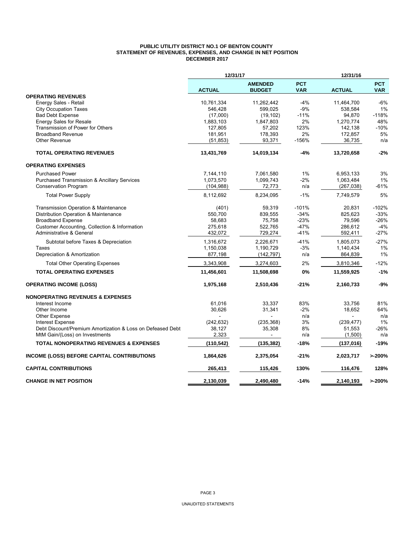#### **PUBLIC UTILITY DISTRICT NO.1 OF BENTON COUNTY STATEMENT OF REVENUES, EXPENSES, AND CHANGE IN NET POSITION DECEMBER 2017**

|                                                            | 12/31/17      |                                 |                          | 12/31/16      |                          |  |  |
|------------------------------------------------------------|---------------|---------------------------------|--------------------------|---------------|--------------------------|--|--|
|                                                            | <b>ACTUAL</b> | <b>AMENDED</b><br><b>BUDGET</b> | <b>PCT</b><br><b>VAR</b> | <b>ACTUAL</b> | <b>PCT</b><br><b>VAR</b> |  |  |
| <b>OPERATING REVENUES</b>                                  |               |                                 |                          |               |                          |  |  |
| Energy Sales - Retail                                      | 10,761,334    | 11,262,442                      | $-4%$                    | 11,464,700    | $-6%$                    |  |  |
| <b>City Occupation Taxes</b>                               | 546,428       | 599,025                         | $-9%$                    | 538,584       | 1%                       |  |  |
| <b>Bad Debt Expense</b>                                    | (17,000)      | (19, 102)                       | $-11%$                   | 94,870        | $-118%$                  |  |  |
| <b>Energy Sales for Resale</b>                             | 1,883,103     | 1,847,803                       | 2%                       | 1,270,774     | 48%                      |  |  |
| Transmission of Power for Others                           | 127,805       | 57,202                          | 123%                     | 142,138       | $-10%$                   |  |  |
| <b>Broadband Revenue</b>                                   | 181,951       | 178,393                         | 2%                       | 172,857       | 5%                       |  |  |
| <b>Other Revenue</b>                                       | (51, 853)     | 93,371                          | $-156%$                  | 36,735        | n/a                      |  |  |
| <b>TOTAL OPERATING REVENUES</b>                            | 13,431,769    | 14,019,134                      | $-4%$                    | 13,720,658    | $-2%$                    |  |  |
| <b>OPERATING EXPENSES</b>                                  |               |                                 |                          |               |                          |  |  |
| <b>Purchased Power</b>                                     | 7,144,110     | 7,061,580                       | $1\%$                    | 6,953,133     | 3%                       |  |  |
| <b>Purchased Transmission &amp; Ancillary Services</b>     | 1,073,570     | 1,099,743                       | $-2%$                    | 1,063,484     | 1%                       |  |  |
| <b>Conservation Program</b>                                | (104, 988)    | 72,773                          | n/a                      | (267, 038)    | $-61%$                   |  |  |
| <b>Total Power Supply</b>                                  | 8,112,692     | 8,234,095                       | $-1%$                    | 7,749,579     | 5%                       |  |  |
| <b>Transmission Operation &amp; Maintenance</b>            | (401)         | 59,319                          | $-101%$                  | 20,831        | $-102%$                  |  |  |
| Distribution Operation & Maintenance                       | 550,700       | 839,555                         | $-34%$                   | 825,623       | $-33%$                   |  |  |
| <b>Broadband Expense</b>                                   | 58.683        | 75.758                          | $-23%$                   | 79.596        | $-26%$                   |  |  |
| Customer Accounting, Collection & Information              | 275,618       | 522,765                         | $-47%$                   | 286,612       | $-4%$                    |  |  |
| Administrative & General                                   | 432,072       | 729,274                         | $-41%$                   | 592,411       | $-27%$                   |  |  |
| Subtotal before Taxes & Depreciation                       | 1,316,672     | 2,226,671                       | $-41%$                   | 1,805,073     | $-27%$                   |  |  |
| Taxes                                                      | 1,150,038     | 1,190,729                       | -3%                      | 1,140,434     | 1%                       |  |  |
| Depreciation & Amortization                                | 877,198       | (142, 797)                      | n/a                      | 864,839       | 1%                       |  |  |
| <b>Total Other Operating Expenses</b>                      | 3,343,908     | 3,274,603                       | 2%                       | 3,810,346     | $-12%$                   |  |  |
| <b>TOTAL OPERATING EXPENSES</b>                            | 11,456,601    | 11,508,698                      | 0%                       | 11,559,925    | $-1%$                    |  |  |
| <b>OPERATING INCOME (LOSS)</b>                             | 1,975,168     | 2,510,436                       | $-21%$                   | 2,160,733     | $-9%$                    |  |  |
| <b>NONOPERATING REVENUES &amp; EXPENSES</b>                |               |                                 |                          |               |                          |  |  |
| Interest Income                                            | 61,016        | 33,337                          | 83%                      | 33,756        | 81%                      |  |  |
| Other Income                                               | 30,626        | 31,341                          | $-2%$                    | 18,652        | 64%                      |  |  |
| Other Expense                                              |               |                                 | n/a                      |               | n/a                      |  |  |
| <b>Interest Expense</b>                                    | (242, 632)    | (235, 368)                      | 3%                       | (239, 477)    | 1%                       |  |  |
| Debt Discount/Premium Amortization & Loss on Defeased Debt | 38,127        | 35,308                          | 8%                       | 51,553        | $-26%$                   |  |  |
| MtM Gain/(Loss) on Investments                             | 2,323         | $\overline{a}$                  | n/a                      | (1,500)       | n/a                      |  |  |
| <b>TOTAL NONOPERATING REVENUES &amp; EXPENSES</b>          | (110,542)     | (135, 382)                      | -18%                     | (137, 016)    | $-19%$                   |  |  |
| INCOME (LOSS) BEFORE CAPITAL CONTRIBUTIONS                 | 1,864,626     | 2,375,054                       | $-21%$                   | 2,023,717     | >200%                    |  |  |
| <b>CAPITAL CONTRIBUTIONS</b>                               | 265,413       | 115,426                         | 130%                     | 116,476       | 128%                     |  |  |
| <b>CHANGE IN NET POSITION</b>                              | 2.130.039     | 2.490.480                       | $-14%$                   | 2.140.193     | >200%                    |  |  |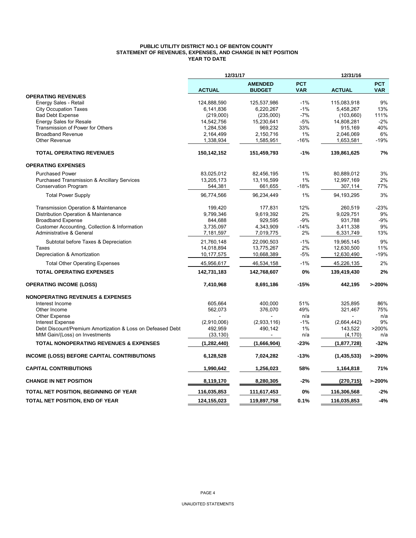#### **PUBLIC UTILITY DISTRICT NO.1 OF BENTON COUNTY STATEMENT OF REVENUES, EXPENSES, AND CHANGE IN NET POSITION YEAR TO DATE**

|                                                            | 12/31/17      |                                 |                          | 12/31/16      |                          |
|------------------------------------------------------------|---------------|---------------------------------|--------------------------|---------------|--------------------------|
|                                                            | <b>ACTUAL</b> | <b>AMENDED</b><br><b>BUDGET</b> | <b>PCT</b><br><b>VAR</b> | <b>ACTUAL</b> | <b>PCT</b><br><b>VAR</b> |
| <b>OPERATING REVENUES</b>                                  |               |                                 |                          |               |                          |
| Energy Sales - Retail                                      | 124,888,590   | 125,537,986                     | $-1%$                    | 115,083,918   | 9%                       |
| <b>City Occupation Taxes</b>                               | 6,141,836     | 6,220,267                       | $-1%$                    | 5,458,267     | 13%                      |
| <b>Bad Debt Expense</b>                                    | (219,000)     | (235,000)                       | $-7%$                    | (103, 660)    | 111%                     |
| <b>Energy Sales for Resale</b>                             | 14,542,756    | 15,230,641                      | $-5%$                    | 14,808,281    | $-2%$                    |
| Transmission of Power for Others                           | 1,284,536     | 969,232                         | 33%                      | 915,169       | 40%                      |
| <b>Broadband Revenue</b>                                   | 2,164,499     | 2,150,716                       | 1%                       | 2,046,069     | 6%                       |
| Other Revenue                                              | 1,338,934     | 1,585,951                       | $-16%$                   | 1,653,581     | $-19%$                   |
| <b>TOTAL OPERATING REVENUES</b>                            | 150,142,152   | 151,459,793                     | $-1%$                    | 139,861,625   | 7%                       |
| <b>OPERATING EXPENSES</b>                                  |               |                                 |                          |               |                          |
| <b>Purchased Power</b>                                     | 83,025,012    | 82,456,195                      | 1%                       | 80,889,012    | 3%                       |
| <b>Purchased Transmission &amp; Ancillary Services</b>     | 13,205,173    | 13,116,599                      | 1%                       | 12,997,169    | 2%                       |
| <b>Conservation Program</b>                                | 544,381       | 661,655                         | $-18%$                   | 307,114       | 77%                      |
| <b>Total Power Supply</b>                                  | 96.774.566    | 96,234,449                      | 1%                       | 94.193.295    | 3%                       |
| Transmission Operation & Maintenance                       | 199,420       | 177,831                         | 12%                      | 260,519       | $-23%$                   |
| Distribution Operation & Maintenance                       | 9.799.346     | 9.619.392                       | 2%                       | 9.029.751     | 9%                       |
| <b>Broadband Expense</b>                                   | 844,688       | 929,595                         | $-9%$                    | 931,788       | $-9%$                    |
| Customer Accounting, Collection & Information              | 3,735,097     | 4,343,909                       | $-14%$                   | 3,411,338     | 9%                       |
| Administrative & General                                   | 7,181,597     | 7,019,775                       | 2%                       | 6,331,749     | 13%                      |
| Subtotal before Taxes & Depreciation                       | 21,760,148    | 22,090,503                      | $-1%$                    | 19,965,145    | 9%                       |
| Taxes                                                      | 14,018,894    | 13,775,267                      | 2%                       | 12,630,500    | 11%                      |
| Depreciation & Amortization                                | 10,177,575    | 10,668,389                      | $-5%$                    | 12,630,490    | $-19%$                   |
| <b>Total Other Operating Expenses</b>                      | 45,956,617    | 46,534,158                      | $-1%$                    | 45,226,135    | 2%                       |
| <b>TOTAL OPERATING EXPENSES</b>                            | 142,731,183   | 142,768,607                     | 0%                       | 139,419,430   | 2%                       |
| <b>OPERATING INCOME (LOSS)</b>                             | 7,410,968     | 8,691,186                       | $-15%$                   | 442,195       | >200%                    |
| <b>NONOPERATING REVENUES &amp; EXPENSES</b>                |               |                                 |                          |               |                          |
| Interest Income                                            | 605,664       | 400,000                         | 51%                      | 325.895       | 86%                      |
| Other Income                                               | 562,073       | 376,070                         | 49%                      | 321,467       | 75%                      |
| Other Expense                                              |               |                                 | n/a                      |               | n/a                      |
| <b>Interest Expense</b>                                    | (2,910,006)   | (2,933,116)                     | $-1%$                    | (2,664,442)   | 9%                       |
| Debt Discount/Premium Amortization & Loss on Defeased Debt | 492,959       | 490,142                         | 1%                       | 143,522       | >200%                    |
| MtM Gain/(Loss) on Investments                             | (33, 130)     |                                 | n/a                      | (4, 170)      | n/a                      |
| <b>TOTAL NONOPERATING REVENUES &amp; EXPENSES</b>          | (1,282,440)   | (1,666,904)                     | -23%                     | (1,877,728)   | $-32%$                   |
| <b>INCOME (LOSS) BEFORE CAPITAL CONTRIBUTIONS</b>          | 6,128,528     | 7,024,282                       | $-13%$                   | (1, 435, 533) | >200%                    |
| <b>CAPITAL CONTRIBUTIONS</b>                               | 1,990,642     | 1,256,023                       | 58%                      | 1,164,818     | 71%                      |
| <b>CHANGE IN NET POSITION</b>                              | 8,119,170     | 8,280,305                       | $-2%$                    | (270, 715)    | >200%                    |
| TOTAL NET POSITION, BEGINNING OF YEAR                      | 116,035,853   | 111,617,453                     | 0%                       | 116,306,568   | $-2%$                    |
| TOTAL NET POSITION, END OF YEAR                            | 124,155,023   | 119,897,758                     | 0.1%                     | 116,035,853   | $-4%$                    |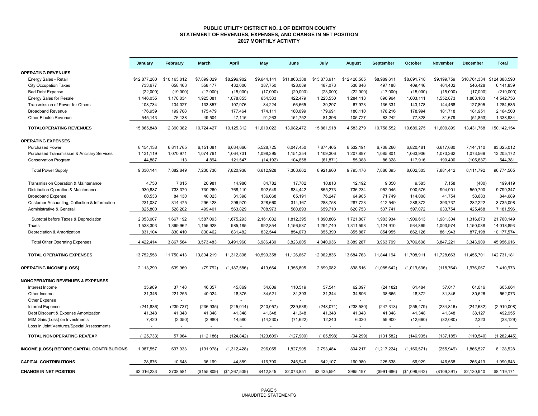#### **PUBLIC UTILITY DISTRICT NO. 1 OF BENTON COUNTY STATEMENT OF REVENUES, EXPENSES, AND CHANGE IN NET POSITION 2017 MONTHLY ACTIVITY**

|                                                        | January      | February     | <b>March</b> | <b>April</b>  | May         | June         | July         | <b>August</b> | September      | October       | <b>November</b> | <b>December</b> | <b>Total</b>               |
|--------------------------------------------------------|--------------|--------------|--------------|---------------|-------------|--------------|--------------|---------------|----------------|---------------|-----------------|-----------------|----------------------------|
| <b>OPERATING REVENUES</b>                              |              |              |              |               |             |              |              |               |                |               |                 |                 |                            |
| Energy Sales - Retail                                  | \$12,877,280 | \$10,163,012 | \$7,899,029  | \$8,296,902   | \$9,644,141 | \$11,863,388 | \$13,873,911 | \$12,428,505  | \$8,989,611    | \$8,891,718   | \$9,199,759     |                 | \$10,761,334 \$124,888,590 |
| <b>City Occupation Taxes</b>                           | 733,677      | 658,463      | 558,477      | 432,000       | 387,750     | 428,089      | 487,073      | 538,846       | 497,188        | 409,446       | 464,402         | 546,428         | 6,141,839                  |
| <b>Bad Debt Expense</b>                                | (22,000)     | (19,000)     | (17,000)     | (15,000)      | (17,000)    | (20,000)     | (23,000)     | (22,000)      | (17,000)       | (15,000)      | (15,000)        | (17,000)        | (219,000)                  |
| <b>Energy Sales for Resale</b>                         | 1,446,055    | 1,178,034    | 1,925,081    | 1,078,855     | 654,533     | 422,479      | 1,223,550    | 1,284,118     | 890,964        | 1,003,111     | 1,552,873       | 1,883,103       | 14,542,756                 |
| Transmission of Power for Others                       | 108,734      | 134,027      | 133,857      | 107,976       | 84,224      | 56,665       | 39,297       | 67,973        | 136,331        | 143,178       | 144,468         | 127,805         | 1,284,535                  |
| <b>Broadband Revenue</b>                               | 176,959      | 199,708      | 175,479      | 177,464       | 174,111     | 180,099      | 179,691      | 180,110       | 178,216        | 178,994       | 181,718         | 181,951         | 2,164,500                  |
| Other Electric Revenue                                 | 545,143      | 76,138       | 49,504       | 47,115        | 91,263      | 151,752      | 81,396       | 105,727       | 83,242         | 77,828        | 81,679          | (51, 853)       | 1,338,934                  |
| <b>TOTALOPERATING REVENUES</b>                         |              | 12,390,382   |              | 10,125,312    |             | 13,082,472   | 15,861,918   | 14,583,279    | 10,758,552     | 10,689,275    | 11,609,899      |                 | 150, 142, 154              |
|                                                        | 15,865,848   |              | 10,724,427   |               | 11,019,022  |              |              |               |                |               |                 | 13,431,768      |                            |
| <b>OPERATING EXPENSES</b>                              |              |              |              |               |             |              |              |               |                |               |                 |                 |                            |
| <b>Purchased Power</b>                                 | 8,154,138    | 6,811,765    | 6,151,081    | 6,634,660     | 5,528,725   | 6,047,450    | 7.874.465    | 8,532,191     | 6,708,266      | 6,820,481     | 6,617,680       | 7,144,110       | 83,025,012                 |
| <b>Purchased Transmission &amp; Ancillary Services</b> | 1,131,119    | 1,070,971    | 1,074,761    | 1,064,731     | 1,098,395   | 1,151,354    | 1,109,306    | 1,207,897     | 1,085,801      | 1,063,906     | 1,073,362       | 1,073,569       | 13,205,172                 |
| <b>Conservation Program</b>                            | 44,887       | 113          | 4,894        | 121,547       | (14, 192)   | 104,858      | (61, 871)    | 55,388        | 86,328         | 117,916       | 190,400         | (105, 887)      | 544,381                    |
| <b>Total Power Supply</b>                              | 9,330,144    | 7,882,849    | 7,230,736    | 7,820,938     | 6,612,928   | 7,303,662    | 8,921,900    | 9,795,476     | 7,880,395      | 8,002,303     | 7,881,442       | 8,111,792       | 96,774,565                 |
|                                                        |              |              |              |               |             |              |              |               |                |               |                 |                 |                            |
| Transmission Operation & Maintenance                   | 4,750        | 7,015        | 20,981       | 14,986        | 84,782      | 17,702       | 10,818       | 12,192        | 9,850          | 9,585         | 7,158           | (400)           | 199,419                    |
| Distribution Operation & Maintenance                   | 930,887      | 733,370      | 730,260      | 768,110       | 902,549     | 834,442      | 855,273      | 736,234       | 952,045        | 900,576       | 904,901         | 550,700         | 9,799,347                  |
| <b>Broadband Expense</b>                               | 60.533       | 84,130       | 40.023       | 31,398        | 136.068     | 65,191       | 76.247       | 64,905        | 71,749         | 114,008       | 41,754          | 58,683          | 844,689                    |
| Customer Accounting, Collection & Information          | 231,037      | 314,475      | 296,428      | 296,970       | 328,660     | 314,167      | 288,758      | 287,723       | 412,549        | 288,372       | 393,737         | 282.222         | 3,735,098                  |
| Administrative & General                               | 825,800      | 528,202      | 499,401      | 563,829       | 708,973     | 580,893      | 659,710      | 620,753       | 537,741        | 597,072       | 633,754         | 425,468         | 7,181,596                  |
| Subtotal before Taxes & Depreciation                   | 2,053,007    | 1,667,192    | 1,587,093    | 1,675,293     | 2,161,032   | 1,812,395    | 1,890,806    | 1,721,807     | 1,983,934      | 1,909,613     | 1,981,304       | 1,316,673       | 21,760,149                 |
| Taxes                                                  | 1,538,303    | 1,369,962    | 1,155,928    | 985,185       | 992,854     | 1,156,537    | 1,294,740    | 1,311,593     | 1,124,910      | 934,869       | 1,003,974       | 1,150,038       | 14,018,893                 |
| Depreciation & Amortization                            | 831.104      | 830.410      | 830.462      | 831,482       | 832.544     | 854,073      | 855,390      | 855,887       | 854,955        | 862,126       | 861,943         | 877,198         | 10,177,574                 |
|                                                        |              |              |              |               |             |              |              |               |                |               |                 |                 |                            |
| <b>Total Other Operating Expenses</b>                  | 4,422,414    | 3,867,564    | 3,573,483    | 3,491,960     | 3,986,430   | 3,823,005    | 4,040,936    | 3,889,287     | 3,963,799      | 3,706,608     | 3,847,221       | 3,343,909       | 45,956,616                 |
| <b>TOTAL OPERATING EXPENSES</b>                        | 13,752,558   | 11,750,413   | 10,804,219   | 11,312,898    | 10,599,358  | 11,126,667   | 12,962,836   | 13,684,763    | 11,844,194     | 11,708,911    | 11,728,663      | 11,455,701      | 142,731,181                |
| <b>OPERATING INCOME (LOSS)</b>                         | 2,113,290    | 639,969      | (79, 792)    | (1, 187, 586) | 419,664     | 1,955,805    | 2,899,082    | 898,516       | (1,085,642)    | (1,019,636)   | (118, 764)      | 1,976,067       | 7,410,973                  |
| <b>NONOPERATING REVENUES &amp; EXPENSES</b>            |              |              |              |               |             |              |              |               |                |               |                 |                 |                            |
| Interest Income                                        | 35,989       | 37,148       | 46,357       | 45,869        | 54,809      | 110,519      | 57,541       | 62,097        | (24, 182)      | 61,484        | 57,017          | 61,016          | 605,664                    |
| Other Income                                           | 31,346       | 221,255      | 40,024       | 18,375        | 34,521      | 31,393       | 31,344       | 34,806        | 38,665         | 18,372        | 31,346          | 30,626          | 562,073                    |
| Other Expense                                          |              |              | $\sim$       | $\sim$        | ÷.          | ÷.           | ä,           | $\sim$        | ÷,             | $\sim$        | ä,              | $\sim$          |                            |
| <b>Interest Expense</b>                                | (241, 836)   | (239, 737)   | (236, 935)   | (245, 014)    | (240.057)   | (239, 538)   | (248, 071)   | (238, 580)    | (247, 313)     | (255, 479)    | (234, 816)      | (242, 632)      | (2,910,008)                |
| Debt Discount & Expense Amortization                   | 41,348       | 41,348       | 41,348       | 41,348        | 41,348      | 41,348       | 41,348       | 41,348        | 41,348         | 41,348        | 41,348          | 38,127          | 492,955                    |
| MtM Gain/(Loss) on Investments                         | 7,420        | (2,050)      | (2,980)      | 14,580        | (14, 230)   | (71, 622)    | 12,240       | 6,030         | 59,900         | (12,660)      | (32,080)        | 2,323           | (33, 129)                  |
| Loss in Joint Ventures/Special Assessments             |              |              |              |               |             |              |              |               |                |               |                 |                 |                            |
| TOTAL NONOPERATING REV/EXP                             | (125, 733)   | 57,964       | (112, 186)   | (124, 842)    | (123, 609)  | (127, 900)   | (105, 598)   | (94, 299)     | (131, 582)     | (146, 935)    | (137, 185)      | (110, 540)      | (1, 282, 445)              |
| <b>INCOME (LOSS) BEFORE CAPITAL CONTRIBUTIONS</b>      | 1,987,557    | 697,933      | (191, 978)   | (1,312,428)   | 296,055     | 1,827,905    | 2,793,484    | 804,217       | (1,217,224)    | (1, 166, 571) | (255, 949)      | 1,865,527       | 6,128,528                  |
|                                                        |              |              |              |               |             |              |              |               |                |               |                 |                 |                            |
| <b>CAPITAL CONTRIBUTIONS</b>                           | 28.676       | 10.648       | 36.169       | 44.889        | 116,790     | 245.946      | 642.107      | 160.980       | 225.538        | 66.929        | 146.558         | 265.413         | 1.990.643                  |
| <b>CHANGE IN NET POSITION</b>                          | \$2,016,233  | \$708,581    | (\$155,809)  | (\$1,267,539) | \$412,845   | \$2,073,851  | \$3,435,591  | \$965,197     | $($ \$991,686) | (\$1,099,642) | (\$109,391)     | \$2,130,940     | \$8,119,171                |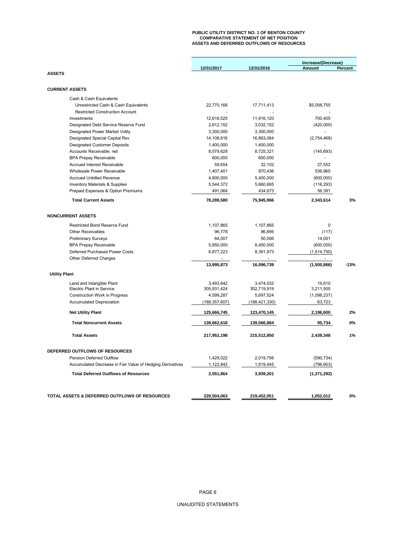# **PUBLIC UTILITY DISTRICT NO. 1 OF BENTON COUNTY COMPARATIVE STATEMENT OF NET POSITION ASSETS AND DEFERRED OUTFLOWS OF RESOURCES**

|                                                           |                 |                 | Increase/(Decrease)                     |         |
|-----------------------------------------------------------|-----------------|-----------------|-----------------------------------------|---------|
|                                                           | 12/31/2017      | 12/31/2016      | <b>Amount</b>                           | Percent |
| <b>ASSETS</b>                                             |                 |                 |                                         |         |
| <b>CURRENT ASSETS</b>                                     |                 |                 |                                         |         |
| Cash & Cash Equivalents                                   |                 |                 |                                         |         |
| Unrestricted Cash & Cash Equivalents                      | 22,770,168      | 17,711,413      | \$5,058,755                             |         |
| <b>Restricted Construction Account</b>                    |                 |                 |                                         |         |
| Investments                                               | 12,616,525      | 11,916,120      | 700,405                                 |         |
| Designated Debt Service Reserve Fund                      | 2,612,152       | 3,032,152       | (420,000)                               |         |
| Designated Power Market Voltly                            | 3,300,000       | 3,300,000       |                                         |         |
| Designated Special Capital Rsv                            | 14,108,616      | 16,863,084      | (2,754,468)                             |         |
| <b>Designated Customer Deposits</b>                       | 1,400,000       | 1,400,000       |                                         |         |
| Accounts Receivable, net                                  | 8,579,628       | 8,725,321       | (145, 693)                              |         |
| <b>BPA Prepay Receivable</b>                              | 600,000         | 600,000         |                                         |         |
| <b>Accrued Interest Receivable</b>                        | 59,654          | 32,102          | 27,552                                  |         |
| Wholesale Power Receivable                                | 1,407,401       | 870,436         | 536,965                                 |         |
| <b>Accrued Unbilled Revenue</b>                           | 4,800,000       | 5,400,000       | (600,000)                               |         |
| <b>Inventory Materials &amp; Supplies</b>                 | 5,544,372       | 5,660,665       | (116, 293)                              |         |
| Prepaid Expenses & Option Premiums                        | 491,064         | 434,673         | 56,391                                  |         |
| <b>Total Current Assets</b>                               | 78,289,580      | 75,945,966      | 2,343,614                               | 3%      |
| <b>NONCURRENT ASSETS</b>                                  |                 |                 |                                         |         |
|                                                           |                 |                 |                                         |         |
| Restricted Bond Reserve Fund                              | 1,107,865       | 1,107,865       | 0                                       |         |
| <b>Other Receivables</b>                                  | 96,778          | 96,895          | (117)                                   |         |
| <b>Preliminary Surveys</b>                                | 64,007          | 50,006          | 14,001                                  |         |
| <b>BPA Prepay Receivable</b>                              | 5,850,000       | 6,450,000       | (600,000)                               |         |
| Deferred Purchased Power Costs<br>Other Deferred Charges  | 6,877,223       | 8,391,973       | (1,514,750)<br>$\overline{\phantom{a}}$ |         |
|                                                           | 13,995,873      | 16,096,739      | (1,500,866)                             | $-13%$  |
| <b>Utility Plant</b>                                      |                 |                 |                                         |         |
| Land and Intangible Plant                                 | 3,493,642       | 3,474,032       | 19,610                                  |         |
| <b>Electric Plant in Service</b>                          | 305,931,424     | 302,719,919     | 3,211,505                               |         |
| Construction Work in Progress                             | 4,599,287       | 5,697,524       | (1,098,237)                             |         |
| <b>Accumulated Depreciation</b>                           | (188, 357, 607) | (188, 421, 330) | 63,723                                  |         |
| <b>Net Utility Plant</b>                                  | 125,666,745     | 123,470,145     | 2,196,600                               | 2%      |
| <b>Total Noncurrent Assets</b>                            | 139,662,618     | 139,566,884     | 95,734                                  | 0%      |
| <b>Total Assets</b>                                       | 217,952,198     | 215,512,850     | 2,439,348                               | 1%      |
| DEFERRED OUTFLOWS OF RESOURCES                            |                 |                 |                                         |         |
| <b>Pension Deferred Outflow</b>                           | 1,429,022       | 2,019,756       | (590, 734)                              |         |
| Accumulated Decrease in Fair Value of Hedging Derivatives | 1,122,842       | 1,919,445       | (796, 603)                              |         |
| <b>Total Deferred Outflows of Resources</b>               | 2,551,864       | 3,939,201       | (1, 371, 292)                           |         |
|                                                           |                 |                 |                                         |         |
| TOTAL ASSETS & DEFERRED OUTFLOWS OF RESOURCES             | 220,504,063     | 219,452,051     | 1,052,012                               | 0%      |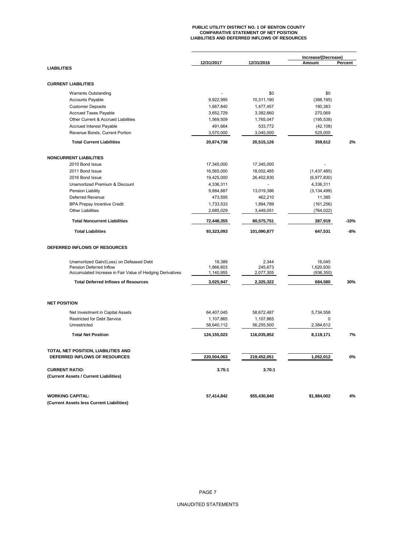# **PUBLIC UTILITY DISTRICT NO. 1 OF BENTON COUNTY COMPARATIVE STATEMENT OF NET POSITION LIABILITIES AND DEFERRED INFLOWS OF RESOURCES**

|                                                                      |             |              | Increase/(Decrease)<br>Amount<br>Percent |        |  |  |
|----------------------------------------------------------------------|-------------|--------------|------------------------------------------|--------|--|--|
| <b>LIABILITIES</b>                                                   | 12/31/2017  | 12/31/2016   |                                          |        |  |  |
|                                                                      |             |              |                                          |        |  |  |
| <b>CURRENT LIABILITIES</b>                                           |             |              |                                          |        |  |  |
| <b>Warrants Outstanding</b>                                          |             | \$0          | \$0                                      |        |  |  |
| <b>Accounts Payable</b>                                              | 9,922,995   | 10,311,190   | (388, 195)                               |        |  |  |
| <b>Customer Deposits</b>                                             | 1,667,840   | 1,477,457    | 190,383                                  |        |  |  |
| <b>Accrued Taxes Payable</b>                                         | 3,652,729   | 3,382,660    | 270,069                                  |        |  |  |
| Other Current & Accrued Liabilities                                  | 1,569,509   | 1,765,047    | (195, 538)                               |        |  |  |
| Accrued Interest Payable                                             | 491,664     | 533,772      | (42, 108)                                |        |  |  |
| Revenue Bonds, Current Portion                                       | 3,570,000   | 3,045,000    | 525,000                                  |        |  |  |
| <b>Total Current Liabilities</b>                                     | 20,874,738  | 20,515,126   | 359,612                                  | 2%     |  |  |
|                                                                      |             |              |                                          |        |  |  |
| <b>NONCURRENT LIABILITIES</b>                                        |             |              |                                          |        |  |  |
| 2010 Bond Issue                                                      | 17,345,000  | 17,345,000   |                                          |        |  |  |
| 2011 Bond Issue                                                      | 16,565,000  | 18,002,485   | (1,437,485)                              |        |  |  |
| 2016 Bond Issue                                                      | 19,425,000  | 26,402,830   | (6,977,830)                              |        |  |  |
| Unamortized Premium & Discount                                       | 4,336,311   |              | 4,336,311                                |        |  |  |
| Pension Liability                                                    | 9,884,887   | 13,019,386   | (3, 134, 499)                            |        |  |  |
| Deferred Revenue                                                     | 473,595     | 462,210      | 11,385                                   |        |  |  |
| <b>BPA Prepay Incentive Credit</b>                                   | 1,733,533   | 1,894,789    | (161, 256)                               |        |  |  |
| <b>Other Liabilities</b>                                             | 2,685,029   | 3,449,051    | (764, 022)                               |        |  |  |
| <b>Total Noncurrent Liabilities</b>                                  | 72,448,355  | 80,575,751   | 287,919                                  | $-10%$ |  |  |
| <b>Total Liabilities</b>                                             | 93,323,093  | 101,090,877  | 647,531                                  | $-8%$  |  |  |
| DEFERRED INFLOWS OF RESOURCES                                        |             |              |                                          |        |  |  |
| Unamortized Gain/(Loss) on Defeased Debt                             | 18,389      | 2,344        | 16,045                                   |        |  |  |
| Pension Deferred Inflow                                              | 1,866,603   | 245,673      | 1,620,930                                |        |  |  |
| Accumulated Increase in Fair Value of Hedging Derivatives            | 1,140,955   | 2,077,305    | (936, 350)                               |        |  |  |
| <b>Total Deferred Inflows of Resources</b>                           | 3,025,947   | 2,325,322    | 684,580                                  | 30%    |  |  |
|                                                                      |             |              |                                          |        |  |  |
| <b>NET POSITION</b>                                                  |             |              |                                          |        |  |  |
| Net Investment in Capital Assets                                     | 64,407,045  | 58,672,487   | 5,734,558                                |        |  |  |
| <b>Restricted for Debt Service</b>                                   | 1,107,865   | 1,107,865    | 0                                        |        |  |  |
| Unrestricted                                                         | 58,640,112  | 56,255,500   | 2,384,612                                |        |  |  |
| <b>Total Net Position</b>                                            | 124,155,023 | 116,035,852  | 8,119,171                                | 7%     |  |  |
| TOTAL NET POSITION, LIABILITIES AND                                  |             |              |                                          |        |  |  |
| DEFERRED INFLOWS OF RESOURCES                                        | 220,504,063 | 219,452,051  | 1,052,012                                | 0%     |  |  |
| <b>CURRENT RATIO:</b>                                                | 3.75:1      | 3.70:1       |                                          |        |  |  |
| (Current Assets / Current Liabilities)                               |             |              |                                          |        |  |  |
|                                                                      |             |              |                                          |        |  |  |
| <b>WORKING CAPITAL:</b><br>(Current Assets less Current Liabilities) | 57,414,842  | \$55,430,840 | \$1,984,002                              | 4%     |  |  |
|                                                                      |             |              |                                          |        |  |  |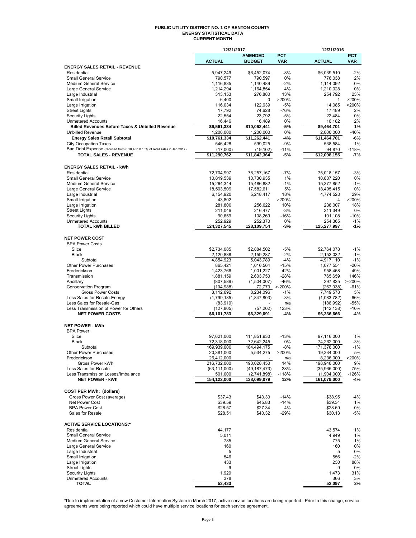#### **PUBLIC UTILITY DISTRICT NO. 1 OF BENTON COUNTY ENERGY STATISTICAL DATA CURRENT MONTH**

|                                                                                       | 12/31/2017                |                            |                  | 12/31/2016                 |                |
|---------------------------------------------------------------------------------------|---------------------------|----------------------------|------------------|----------------------------|----------------|
|                                                                                       |                           | <b>AMENDED</b>             | <b>PCT</b>       |                            | <b>PCT</b>     |
| <b>ENERGY SALES RETAIL - REVENUE</b>                                                  | <b>ACTUAL</b>             | <b>BUDGET</b>              | <b>VAR</b>       | <b>ACTUAL</b>              | <b>VAR</b>     |
| Residential                                                                           | 5,947,249                 | \$6,452,074                | $-8%$            | \$6,039,510                | $-2%$          |
| <b>Small General Service</b>                                                          | 790,577                   | 790,597                    | 0%               | 776,038                    | 2%             |
| Medium General Service                                                                | 1,116,835                 | 1,140,489                  | $-2%$            | 1,114,092                  | 0%             |
| Large General Service                                                                 | 1,214,294                 | 1,164,854                  | 4%               | 1,210,028                  | 0%             |
| Large Industrial<br>Small Irrigation                                                  | 313,153<br>6,400          | 276,880<br>$\mathbf 0$     | 13%<br>>200%     | 254,792<br>1               | 23%<br>>200%   |
| Large Irrigation                                                                      | 116,034                   | 122,639                    | $-5%$            | 14,085                     | >200%          |
| <b>Street Lights</b>                                                                  | 17,792                    | 74,628                     | $-76%$           | 17,489                     | 2%             |
| <b>Security Lights</b>                                                                | 22,554                    | 23,792                     | $-5%$            | 22,484                     | 0%             |
| <b>Unmetered Accounts</b>                                                             | 16,446                    | 16,489                     | 0%               | 16,182                     | 2%             |
| <b>Billed Revenues Before Taxes &amp; Unbilled Revenue</b><br><b>Unbilled Revenue</b> | \$9,561,334<br>1,200,000  | \$10,062,441<br>1,200,000  | $-5%$<br>0%      | \$9,464,701<br>2,000,000   | 1%<br>-40%     |
| <b>Energy Sales Retail Subtotal</b>                                                   | \$10,761,334              | \$11,262,441               | $-4%$            | \$11,464,701               | $-6%$          |
| <b>City Occupation Taxes</b>                                                          | 546,428                   | 599,025                    | $-9%$            | 538,584                    | 1%             |
| Bad Debt Expense (reduced from 0.18% to 0.16% of retail sales in Jan 2017)            | (17,000)                  | (19, 102)                  | -11%             | 94,870                     | $-118%$        |
| <b>TOTAL SALES - REVENUE</b>                                                          | \$11,290,762              | \$11,842,364               | -5%              | \$12,098,155               | -7%            |
| <b>ENERGY SALES RETAIL - kWh</b>                                                      |                           |                            |                  |                            |                |
| Residential                                                                           | 72,704,997                | 78,257,167                 | $-7%$            | 75,018,157                 | $-3%$          |
| <b>Small General Service</b>                                                          | 10,819,539                | 10,730,935                 | 1%               | 10,807,220                 | 0%             |
| <b>Medium General Service</b>                                                         | 15,264,344                | 15,486,882                 | $-1%$            | 15,377,852                 | $-1%$          |
| Large General Service<br>Large Industrial                                             | 18,503,509<br>6,154,920   | 17,582,611<br>5,218,417    | 5%<br>18%        | 18,495,415<br>4,774,520    | 0%<br>29%      |
| Small Irrigation                                                                      | 43,802                    | 1                          | >200%            | 4                          | >200%          |
| Large Irrigation                                                                      | 281,800                   | 256,622                    | 10%              | 238,007                    | 18%            |
| <b>Street Lights</b>                                                                  | 211,046                   | 216,477                    | $-3%$            | 211,349                    | 0%             |
| <b>Security Lights</b>                                                                | 90,659                    | 108,269                    | $-16%$           | 101,108                    | $-10%$         |
| <b>Unmetered Accounts</b>                                                             | 252,929                   | 252,370                    | 0%               | 254,365                    | $-1%$          |
| <b>TOTAL kWh BILLED</b>                                                               | 124,327,545               | 128,109,754                | $-3%$            | 125,277,997                | $-1%$          |
| <b>NET POWER COST</b>                                                                 |                           |                            |                  |                            |                |
| <b>BPA Power Costs</b>                                                                |                           |                            |                  |                            |                |
| Slice<br><b>Block</b>                                                                 | \$2,734,085<br>2,120,838  | \$2,884,502<br>2,159,287   | $-5%$<br>$-2%$   | \$2,764,078<br>2,153,032   | $-1%$<br>$-1%$ |
| Subtotal                                                                              | 4,854,923                 | 5,043,789                  | $-4%$            | 4,917,110                  | $-1%$          |
| <b>Other Power Purchases</b>                                                          | 865,421                   | 1,016,564                  | $-15%$           | 1,077,554                  | $-20%$         |
| Frederickson                                                                          | 1,423,766                 | 1,001,227                  | 42%              | 958,468                    | 49%            |
| Transmission                                                                          | 1,881,159                 | 2,603,750                  | $-28%$           | 765,659                    | 146%           |
| Ancillary                                                                             | (807, 589)                | (1,504,007)                | $-46%$           | 297,825                    | $> -200%$      |
| <b>Conservation Program</b>                                                           | (104, 988)                | 72,773 >-200%              |                  | (267, 038)                 | -61%           |
| <b>Gross Power Costs</b><br>Less Sales for Resale-Energy                              | 8,112,692<br>(1,799,185)  | 8,234,096<br>(1, 847, 803) | $-1%$<br>$-3%$   | 7,749,578<br>(1,083,782)   | 5%<br>66%      |
| Less Sales for Resale-Gas                                                             | (83,919)                  |                            | n/a              | (186, 992)                 | -55%           |
| Less Transmission of Power for Others                                                 | (127, 805)                | (57, 202)                  | 123%             | (142, 138)                 | $-10%$         |
| <b>NET POWER COSTS</b>                                                                | \$6,101,783               | \$6,329,091                | $-4%$            | \$6,336,666                | -4%            |
| <b>NET POWER - kWh</b>                                                                |                           |                            |                  |                            |                |
| <b>BPA Power</b>                                                                      |                           |                            |                  |                            |                |
| Slice                                                                                 | 97,621,000                | 111,851,930                | $-13%$           | 97,116,000                 | 1%             |
| <b>Block</b><br>Subtotal                                                              | 72,318,000<br>169,939,000 | 72,642,245<br>184,494,175  | 0%<br>$-8%$      | 74,262,000<br>171,378,000  | -3%<br>$-1%$   |
| Other Power Purchases                                                                 | 20,381,000                | 5,534,275                  | >200%            | 19,334,000                 | 5%             |
| Frederickson                                                                          | 26,412,000                |                            | n/a              | 8,236,000                  | >200%          |
| Gross Power kWh                                                                       | 216,732,000               | 190,028,450                | 14%              | 198,948,000                | 9%             |
| Less Sales for Resale                                                                 | (63, 111, 000)            | (49, 187, 473)             | 28%              | (35,965,000)               | 75%            |
| Less Transmission Losses/Imbalance<br><b>NET POWER - kWh</b>                          | 501.000<br>154,122,000    | (2,741,898)<br>138,099,079 | $-118%$<br>12%   | (1,904,000)<br>161,079,000 | $-126%$<br>-4% |
|                                                                                       |                           |                            |                  |                            |                |
| <b>COST PER MWh: (dollars)</b>                                                        |                           |                            |                  |                            |                |
| Gross Power Cost (average)<br>Net Power Cost                                          | \$37.43<br>\$39.59        | \$43.33<br>\$45.83         | $-14%$<br>$-14%$ | \$38.95<br>\$39.34         | -4%<br>1%      |
| <b>BPA Power Cost</b>                                                                 | \$28.57                   | \$27.34                    | 4%               | \$28.69                    | 0%             |
| Sales for Resale                                                                      | \$28.51                   | \$40.32                    | $-29%$           | \$30.13                    | -5%            |
| <b>ACTIVE SERVICE LOCATIONS:*</b>                                                     |                           |                            |                  |                            |                |
| Residential                                                                           | 44,177                    |                            |                  | 43,574                     | 1%             |
| <b>Small General Service</b>                                                          | 5,011                     |                            |                  | 4,949                      | 1%             |
| Medium General Service                                                                | 785                       |                            |                  | 775                        | 1%             |
| Large General Service                                                                 | 160                       |                            |                  | 160                        | 0%             |
| Large Industrial                                                                      | 5<br>546                  |                            |                  | 5<br>556                   | 0%             |
| Small Irrigation<br>Large Irrigation                                                  | 433                       |                            |                  | 230                        | $-2%$<br>88%   |
| <b>Street Lights</b>                                                                  | 9                         |                            |                  | 9                          | 0%             |
| <b>Security Lights</b>                                                                | 1,929                     |                            |                  | 1,473                      | 31%            |
| <b>Unmetered Accounts</b>                                                             | 378                       |                            |                  | 366                        | 3%             |
| TOTAL                                                                                 | 53,433                    |                            |                  | 52,097                     | 3%             |

\*Due to implementation of a new Customer Information System in March 2017, active service locations are being reported. Prior to this change, service<br>agreements were being reported which could have multiple service locati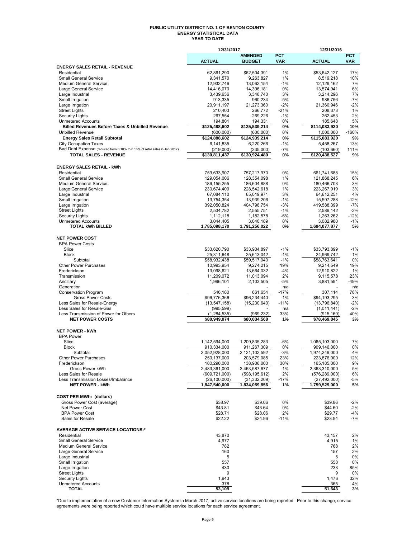#### **PUBLIC UTILITY DISTRICT NO. 1 OF BENTON COUNTY ENERGY STATISTICAL DATA YEAR TO DATE**

|                                                                            | 12/31/2017                   |                            |              | 12/31/2016                 |            |  |  |
|----------------------------------------------------------------------------|------------------------------|----------------------------|--------------|----------------------------|------------|--|--|
|                                                                            |                              | <b>AMENDED</b>             | <b>PCT</b>   |                            | <b>PCT</b> |  |  |
|                                                                            | <b>ACTUAL</b>                | <b>BUDGET</b>              | <b>VAR</b>   | <b>ACTUAL</b>              | VAR        |  |  |
| <b>ENERGY SALES RETAIL - REVENUE</b>                                       |                              |                            |              |                            |            |  |  |
| Residential<br><b>Small General Service</b>                                | 62,861,290<br>9,341,570      | \$62,504,391<br>9,263,827  | 1%<br>1%     | \$53,642,127<br>8,519,218  | 17%<br>10% |  |  |
| Medium General Service                                                     | 12,932,746                   | 13,062,154                 | -1%          | 12,129,162                 | 7%         |  |  |
| Large General Service                                                      | 14,416,070                   | 14,396,181                 | 0%           | 13,574,941                 | 6%         |  |  |
| Large Industrial                                                           | 3,439,636                    | 3,348,740                  | 3%           | 3,214,296                  | 7%         |  |  |
| Small Irrigation                                                           | 913,335                      | 960,234                    | $-5%$        | 986,756                    | $-7%$      |  |  |
| Large Irrigation                                                           | 20,911,197                   | 21,273,360                 | $-2%$        | 21,360,946                 | -2%        |  |  |
| <b>Street Lights</b>                                                       | 210,403                      | 266,772                    | $-21%$       | 208,373                    | 1%         |  |  |
| <b>Security Lights</b>                                                     | 267,554                      | 269,226                    | $-1%$        | 262,453                    | 2%         |  |  |
| <b>Unmetered Accounts</b>                                                  | 194,801                      | 194,331                    | 0%           | 185,648                    | 5%         |  |  |
| <b>Billed Revenues Before Taxes &amp; Unbilled Revenue</b>                 | \$125,488,602                | \$125,539,214              | 0%           | \$114,083,920              | 10%        |  |  |
| <b>Unbilled Revenue</b>                                                    | (600,000)                    | (600,000)                  | 0%           | 1,000,000                  | $-160%$    |  |  |
| <b>Energy Sales Retail Subtotal</b>                                        | \$124,888,602                | \$124,939,214              | 0%           | \$115,083,920              | 9%         |  |  |
| <b>City Occupation Taxes</b>                                               | 6,141,835                    | 6,220,266                  | -1%          | 5,458,267                  | 13%        |  |  |
| Bad Debt Expense (reduced from 0.18% to 0.16% of retail sales in Jan 2017) | (219,000)                    | (235,000)                  | $-7%$        | (103, 660)                 | 111%       |  |  |
| <b>TOTAL SALES - REVENUE</b>                                               | \$130,811,437                | \$130,924,480              | 0%           | \$120,438,527              | 9%         |  |  |
|                                                                            |                              |                            |              |                            |            |  |  |
| <b>ENERGY SALES RETAIL - kWh</b>                                           |                              |                            |              |                            |            |  |  |
| Residential                                                                | 759,633,907                  | 757,217,970                | 0%           | 661,741,688                | 15%        |  |  |
| <b>Small General Service</b><br><b>Medium General Service</b>              | 129,054,006                  | 128,354,098                | 1%           | 121,868,245                | 6%         |  |  |
| Large General Service                                                      | 186, 155, 255<br>230,674,409 | 186,604,888<br>228,542,618 | 0%<br>1%     | 180,466,703<br>223,267,919 | 3%<br>3%   |  |  |
| Large Industrial                                                           | 67,084,110                   | 65,019,971                 | 3%           | 64,612,251                 | 4%         |  |  |
| Small Irrigation                                                           | 13,754,354                   | 13,939,206                 | $-1%$        | 15,597,288                 | $-12%$     |  |  |
| Large Irrigation                                                           | 392,050,824                  | 404,798,754                | $-3%$        | 419,588,399                | $-7%$      |  |  |
| <b>Street Lights</b>                                                       | 2,534,782                    | 2,555,751                  | $-1%$        | 2,589,142                  | $-2%$      |  |  |
| <b>Security Lights</b>                                                     | 1,112,118                    | 1,182,578                  | -6%          | 1,263,262                  | $-12%$     |  |  |
| <b>Unmetered Accounts</b>                                                  | 3,044,405                    | 3,040,189                  | 0%           | 3,082,980                  | $-1%$      |  |  |
| <b>TOTAL kWh BILLED</b>                                                    | 1,785,098,170                | 1,791,256,022              | 0%           | 1,694,077,877              | 5%         |  |  |
|                                                                            |                              |                            |              |                            |            |  |  |
| <b>NET POWER COST</b>                                                      |                              |                            |              |                            |            |  |  |
| <b>BPA Power Costs</b>                                                     |                              |                            |              |                            |            |  |  |
| Slice                                                                      | \$33,620,790                 | \$33,904,897               | $-1%$        | \$33,793,899               | $-1%$      |  |  |
| <b>Block</b>                                                               | 25,311,648                   | 25,613,042                 | $-1%$        | 24,969,742                 | 1%         |  |  |
| Subtotal                                                                   | \$58,932,438                 | \$59,517,940               | $-1%$        | \$58,763,641               | 0%         |  |  |
| <b>Other Power Purchases</b>                                               | 10,993,954                   | 9,274,215                  | 19%          | 9,214,549                  | 19%        |  |  |
| Frederickson                                                               | 13,098,621                   | 13,664,032                 | $-4%$        | 12,910,822                 | 1%         |  |  |
| Transmission                                                               | 11,209,072                   | 11,013,094                 | 2%           | 9,115,578                  | 23%        |  |  |
| Ancillary                                                                  | 1,996,101                    | 2,103,505                  | -5%          | 3,881,591                  | -49%       |  |  |
| Generation                                                                 |                              |                            | n/a          |                            | n/a<br>78% |  |  |
| <b>Conservation Program</b><br><b>Gross Power Costs</b>                    | 546,180<br>\$96,776,366      | 661,654<br>\$96,234,440    | $-17%$<br>1% | 307,114<br>\$94,193,295    | 3%         |  |  |
| Less Sales for Resale-Energy                                               | (13, 547, 158)               | (15, 230, 640)             | $-11%$       | (13,796,840)               | $-2%$      |  |  |
| Less Sales for Resale-Gas                                                  | (995, 599)                   |                            | n/a          | (1,011,441)                | $-2%$      |  |  |
| Less Transmission of Power for Others                                      | (1, 284, 535)                | (969, 232)                 | 33%          | (915, 169)                 | 40%        |  |  |
| <b>NET POWER COSTS</b>                                                     | \$80,949,074                 | \$80,034,568               | 1%           | \$78,469,845               | 3%         |  |  |
|                                                                            |                              |                            |              |                            |            |  |  |
| <b>NET POWER - kWh</b>                                                     |                              |                            |              |                            |            |  |  |
| <b>BPA Power</b>                                                           |                              |                            |              |                            |            |  |  |
| Slice                                                                      | 1,142,594,000                | 1,209,835,283              | -6%          | 1,065,103,000              | 7%         |  |  |
| <b>Block</b>                                                               | 910,334,000                  | 911,267,309                | 0%           | 909,146,000                | 0%         |  |  |
| Subtotal                                                                   | 2,052,928,000                | 2,121,102,592              | -3%          | 1,974,249,000              | 4%         |  |  |
| <b>Other Power Purchases</b>                                               | 250, 137, 000                | 203,579,085                | 23%          | 223,876,000                | 12%        |  |  |
| Frederickson                                                               | 180,296,000                  | 138,906,000                | 30%          | 165,185,000                | 9%         |  |  |
| Gross Power kWh                                                            | 2,483,361,000                | 2,463,587,677              | 1%           | 2,363,310,000              | 5%         |  |  |
| Less Sales for Resale                                                      | (609, 721, 000)              | (598, 195, 612)            | 2%           | (576, 289, 000)            | 6%         |  |  |
| Less Transmission Losses/Imbalance                                         | (26, 100, 000)               | (31, 332, 209)             | $-17%$       | (27, 492, 000)             | -5%        |  |  |
| <b>NET POWER - kWh</b>                                                     | 1,847,540,000                | 1,834,059,856              | 1%           | 1,759,529,000              | 5%         |  |  |
|                                                                            |                              |                            |              |                            |            |  |  |
| <b>COST PER MWh: (dollars)</b>                                             |                              |                            |              |                            |            |  |  |
| Gross Power Cost (average)                                                 | \$38.97                      | \$39.06                    | 0%           | \$39.86                    | -2%        |  |  |
| Net Power Cost                                                             | \$43.81                      | \$43.64                    | 0%           | \$44.60                    | -2%        |  |  |
| <b>BPA Power Cost</b>                                                      | \$28.71                      | \$28.06                    | 2%           | \$29.77                    | -4%        |  |  |
| Sales for Resale                                                           | \$22.22                      | \$24.96                    | $-11%$       | \$23.94                    | -7%        |  |  |
| <b>AVERAGE ACTIVE SERVICE LOCATIONS:*</b>                                  |                              |                            |              |                            |            |  |  |
| Residential                                                                | 43.870                       |                            |              | 43,157                     | 2%         |  |  |
| <b>Small General Service</b>                                               | 4,977                        |                            |              | 4,915                      | 1%         |  |  |
| Medium General Service                                                     | 782                          |                            |              | 768                        | 2%         |  |  |
| Large General Service                                                      | 160                          |                            |              | 157                        | 2%         |  |  |
| Large Industrial                                                           | 5                            |                            |              | 5                          | 0%         |  |  |
| Small Irrigation                                                           | 557                          |                            |              | 558                        | 0%         |  |  |
| Large Irrigation                                                           | 430                          |                            |              | 233                        | 85%        |  |  |
| <b>Street Lights</b>                                                       | 9                            |                            |              | 9                          | 0%         |  |  |
| <b>Security Lights</b>                                                     | 1,943                        |                            |              | 1,476                      | 32%        |  |  |
| <b>Unmetered Accounts</b>                                                  | 378                          |                            |              | 365                        | 4%         |  |  |
| TOTAL                                                                      | 53,109                       |                            |              | 51,643                     | 3%         |  |  |

\*Due to implementation of a new Customer Information System in March 2017, active service locations are being reported. Prior to this change, service<br>agreements were being reported which could have multiple service locati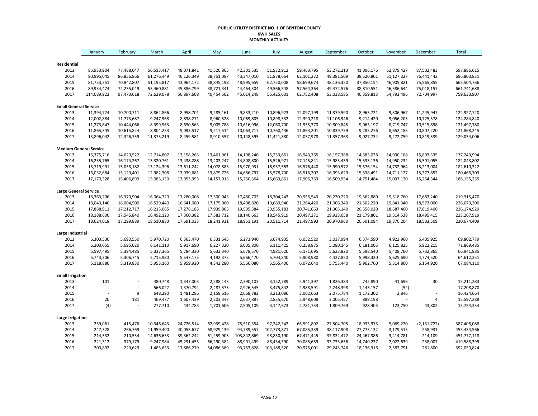#### **PUBLIC UTILITY DISTRICT NO. 1 OF BENTON COUNTY KWH SALES MONTHLY ACTIVITY**

|                                       | January                  | February                 | March                    | April                    | May                      | June                     | July                     | August                   | September                | October                  | November                 | December                 | <b>Total</b>               |
|---------------------------------------|--------------------------|--------------------------|--------------------------|--------------------------|--------------------------|--------------------------|--------------------------|--------------------------|--------------------------|--------------------------|--------------------------|--------------------------|----------------------------|
|                                       |                          |                          |                          |                          |                          |                          |                          |                          |                          |                          |                          |                          |                            |
| Residential                           |                          |                          |                          |                          |                          |                          |                          |                          |                          |                          |                          |                          |                            |
| 2013<br>2014                          | 85,933,904<br>90,995,045 | 77,488,047<br>86,856,866 | 56,513,417<br>61,276,449 | 48,071,841<br>46,126,349 | 41,520,865<br>38,751,097 | 42,301,535<br>43,347,010 | 51,932,912<br>51,878,664 | 59,463,795<br>62,101,272 | 53,272,213<br>49,381,509 | 41,006,176<br>38,520,801 | 52,879,427<br>51,127,327 | 87,502,483<br>76,441,442 | 697,886,615<br>696,803,831 |
| 2015                                  | 81,753,251               | 70,842,807               | 51,195,817               | 43,964,172               | 38,845,198               | 48,995,659               | 62,750,008               | 58,699,674               | 48,136,350               | 37,850,154               | 46,905,821               | 75,565,855               | 665,504,766                |
| 2016                                  | 89,934,474               | 72,255,049               | 53,460,881               | 45,886,799               | 38,721,341               | 44,464,304               |                          |                          | 49,472,576               | 38,810,551               | 46,586,644               |                          | 661,741,688                |
| 2017                                  | 114,089,923              | 97,473,618               | 72,629,078               | 50,897,608               | 40,454,502               | 45,014,248               | 49,566,548<br>55,425,631 | 57,564,364<br>62,752,408 | 53,038,585               | 40,359,813               | 54,793,496               | 75,018,157<br>72,704,997 | 759,633,907                |
|                                       |                          |                          |                          |                          |                          |                          |                          |                          |                          |                          |                          |                          |                            |
| <b>Small General Service</b><br>2013  | 11,394,724               | 10,700,711               | 8,862,866                | 8,958,701                | 9,285,161                | 9,833,210                | 10,896,923               | 12,097,199               | 11,379,590               | 8,965,721                | 9,306,967                | 11,245,947               | 122,927,720                |
| 2014                                  | 12,002,884               | 11,773,687               | 9,247,968                | 8,838,271                | 8,960,528                | 10,069,805               | 10,898,332               | 12,390,218               | 11,106,946               | 9,214,420                | 9,056,203                | 10,725,578               | 124,284,840                |
| 2015                                  | 11,273,647               | 10,444,066               | 8,399,963                | 8,630,563                | 9,005,788                | 10,616,996               | 12,060,700               | 11,955,370               | 10,809,845               | 9,065,197                | 8,719,747                | 10,515,898               | 121,497,780                |
| 2016                                  | 11,865,345               | 10,615,824               | 8,804,253                | 9,093,517                | 9,217,514                | 10,063,717               | 10,760,436               | 11,863,201               | 10,839,759               | 9,285,276                | 8,652,183                | 10,807,220               | 121,868,245                |
| 2017                                  | 13,896,042               | 12,326,759               | 11,375,219               | 8,459,581                | 8,910,557                | 10,148,595               | 11,421,880               | 12,037,978               | 11,357,363               | 9,027,734                | 9,272,759                | 10,819,539               | 129,054,006                |
|                                       |                          |                          |                          |                          |                          |                          |                          |                          |                          |                          |                          |                          |                            |
| <b>Medium General Service</b><br>2013 |                          | 14,629,522               | 12,714,807               | 13,158,263               | 13,461,961               | 14,198,240               |                          | 16,943,765               | 16,157,388               | 14,583,038               | 14,990,108               |                          | 177,249,994                |
| 2014                                  | 15,375,716<br>16,255,765 | 16,174,267               | 13,320,761               | 13,438,288               | 13,403,247               | 14,808,800               | 15,233,651<br>15,526,971 | 17,145,841               | 15,985,439               | 15,533,136               | 14,950,232               | 15,803,535<br>15,501,055 | 182,043,802                |
| 2015                                  | 15,719,991               | 15,058,182               | 13,124,396               | 13,611,242               | 14,078,883               | 15,970,931               | 16,957,563               | 16,576,440               | 15,990,572               | 15,576,154               | 14,732,964               | 15,213,004               | 182,610,322                |
| 2016                                  | 16,032,684               | 15,129,401               | 12,982,308               | 13,939,681               | 13,879,726               | 14,686,797               | 15,578,700               | 16,516,307               | 16,093,629               | 15,538,491               | 14,711,127               | 15,377,852               | 180,466,703                |
| 2017                                  | 17,170,328               | 15,406,899               | 15,083,130               | 13,953,993               | 14,157,015               | 15,250,364               | 15,663,861               | 17,906,763               | 16,509,954               | 14,751,484               | 15,037,120               | 15,264,344               | 186, 155, 255              |
|                                       |                          |                          |                          |                          |                          |                          |                          |                          |                          |                          |                          |                          |                            |
| <b>Large General Service</b>          |                          |                          |                          |                          |                          |                          |                          |                          |                          |                          |                          |                          |                            |
| 2013                                  | 18,363,206               | 16,370,904               | 16,064,720               | 17,280,008               | 17,300,043               | 17,480,703               | 18,704,243               | 20,956,543               | 20,230,220               | 19,362,880               | 19,518,760               | 17,683,240               | 219,315,470                |
| 2014                                  | 18,043,140               | 18,004,500               | 16,529,440               | 16,641,080               | 17,175,060               | 18,408,820               | 19,689,940               | 21,264,420               | 21,006,340               | 21,502,220               | 19,841,340               | 18,573,000               | 226,679,300                |
| 2015                                  | 17,888,911               | 17,212,717               | 16,213,065               | 17,278,183               | 17,939,803               | 19,595,384               | 20,935,183               | 20,741,663               | 21,305,140               | 20,558,020               | 18,687,460               | 17,819,400               | 226,174,929                |
| 2016                                  | 18,188,600               | 17,545,840               | 16,492,120               | 17,360,382               | 17,583,712               | 18,140,663               | 18,545,919               | 20,497,271               | 19,923,658               | 21,179,801               | 19,314,538               | 18,495,415               | 223,267,919                |
| 2017                                  | 18,624,018               | 17,299,889               | 18,510,883               | 17,691,033               | 18,241,931               | 18,951,191               | 20,511,714               | 21,497,993               | 20,970,960               | 20,501,084               | 19,370,204               | 18,503,509               | 230,674,409                |
| Large Industrial                      |                          |                          |                          |                          |                          |                          |                          |                          |                          |                          |                          |                          |                            |
| 2013                                  | 6,303,530                | 5,690,550                | 5,970,720                | 6,363,470                | 6,331,645                | 6,273,940                | 6,074,935                | 6,052,520                | 3,037,994                | 6,374,590                | 4,922,960                | 6,405,925                | 69,802,779                 |
| 2014                                  | 6,203,055                | 5,695,020                | 6,141,110                | 5,917,690                | 6,227,320                | 6,005,800                | 6,111,425                | 6,258,875                | 5,080,145                | 6,181,005                | 6,125,825                | 5,922,215                | 71,869,485                 |
| 2015                                  | 5,597,495                | 5,394,485                | 5,337,365                | 5,784,330                | 5,632,340                | 5,678,570                | 4,981,620                | 6,171,695                | 5,623,820                | 5,598,540                | 5,408,760                | 5,732,865                | 66,941,885                 |
| 2016                                  | 5,743,306                | 5,306,745                | 5,715,980                | 5,547,175                | 4,192,375                | 5,666,470                | 5,704,840                | 5,908,980                | 4,427,850                | 5,998,320                | 5,625,690                | 4,774,520                | 64,612,251                 |
| 2017                                  | 5,118,880                | 5,319,830                | 5,953,160                | 5,959,920                | 4,342,280                | 5,566,080                | 5,565,400                | 6,072,640                | 5,753,440                | 5,962,760                | 5,314,800                | 6,154,920                | 67,084,110                 |
| <b>Small Irrigation</b>               |                          |                          |                          |                          |                          |                          |                          |                          |                          |                          |                          |                          |                            |
| 2013                                  | 101                      | $\overline{a}$           | 480,748                  | 1,347,003                | 2,288,143                | 2,390,103                | 3,152,789                | 2,941,397                | 1,826,383                | 742,890                  | 41,696                   | 30                       | 15,211,283                 |
| 2014                                  |                          | $\overline{a}$           | 566,022                  | 1,370,794                | 2,487,573                | 2,926,545                | 3,475,842                | 2,988,591                | 2,248,398                | 1,145,157                | (52)                     | ÷,                       | 17,208,870                 |
| 2015                                  | $\overline{a}$           | 9                        | 648,290                  | 1,481,286                | 2,159,616                | 2,668,782                | 3,213,086                | 3,002,663                | 2,075,784                | 1,172,302                | 2,846                    | $\overline{a}$           | 16,424,664                 |
| 2016                                  | 20                       | 181                      | 469,477                  | 1,607,439                | 2,203,347                | 2,637,887                | 2,835,670                | 2,948,608                | 2,005,457                | 889,198                  |                          | 4                        | 15,597,288                 |
| 2017                                  | (4)                      |                          | 277,710                  | 434,783                  | 1,701,606                | 2,505,109                | 3,147,673                | 2,781,753                | 1,809,769                | 928,403                  | 123,750                  | 43,802                   | 13,754,354                 |
| <b>Large Irrigation</b>               |                          |                          |                          |                          |                          |                          |                          |                          |                          |                          |                          |                          |                            |
| 2013                                  | 259,061                  | 415,476                  | 10,346,643               | 24,726,514               | 62,939,428               | 75,510,554               | 97,242,342               | 66,591,892               | 27,504,705               | 18,933,975               | 5,069,220                | (2, 131, 722)            | 387,408,088                |
| 2014                                  | 247,328                  | 266,769                  | 11,959,400               | 40,053,677               | 68,929,139               | 94,789,557               | 102,773,871              | 67,085,339               | 38,117,908               | 27,773,132               | 3,179,515                | 258,931                  | 455,434,566                |
| 2015                                  | 214,532                  | 210,554                  | 14,636,633               | 39,362,242               | 61,259,905               | 103,842,869              | 98,850,190               | 67,471,445               | 37,832,472               | 24,467,386               | 3,414,781                | 214,109                  | 451,777,118                |
| 2016                                  | 221,312                  | 379,179                  | 9,247,984                | 45,291,455               | 66,290,382               | 88,901,499               | 88,434,390               | 70,085,659               | 33,735,656               | 14,740,237               | 2,022,639                | 238,007                  | 419,588,399                |
| 2017                                  | 200,892                  | 229,629                  | 1,485,633                | 17,886,279               | 54,086,389               | 93,753,828               | 103,188,520              | 70,975,001               | 29,243,746               | 18,136,316               | 2,582,791                | 281,800                  | 392,050,824                |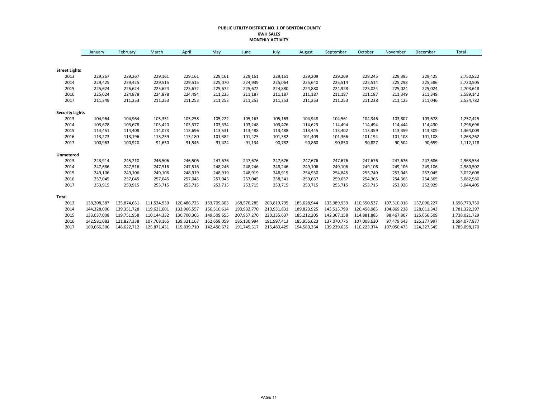#### **PUBLIC UTILITY DISTRICT NO. 1 OF BENTON COUNTY KWH SALES MONTHLY ACTIVITY**

|                        | January     | February    | March       | April       | May         | June        | July        | August      | September   | October     | November    | December    | Total         |
|------------------------|-------------|-------------|-------------|-------------|-------------|-------------|-------------|-------------|-------------|-------------|-------------|-------------|---------------|
|                        |             |             |             |             |             |             |             |             |             |             |             |             |               |
| <b>Street Lights</b>   |             |             |             |             |             |             |             |             |             |             |             |             |               |
| 2013                   | 229,267     | 229,267     | 229,161     | 229,161     | 229,161     | 229,161     | 229,161     | 229,209     | 229,209     | 229,245     | 229,395     | 229,425     | 2,750,822     |
| 2014                   | 229,425     | 229,425     | 229,515     | 229,515     | 225,070     | 224,939     | 225,064     | 225,640     | 225,514     | 225,514     | 225,298     | 225,586     | 2,720,505     |
| 2015                   | 225,624     | 225,624     | 225,624     | 225,672     | 225,672     | 225,672     | 224,880     | 224,880     | 224,928     | 225,024     | 225,024     | 225,024     | 2,703,648     |
| 2016                   | 225,024     | 224,878     | 224,878     | 224,494     | 211,235     | 211,187     | 211,187     | 211,187     | 211,187     | 211,187     | 211,349     | 211,349     | 2,589,142     |
| 2017                   | 211,349     | 211,253     | 211,253     | 211,253     | 211,253     | 211,253     | 211,253     | 211,253     | 211,253     | 211,238     | 211,125     | 211,046     | 2,534,782     |
| <b>Security Lights</b> |             |             |             |             |             |             |             |             |             |             |             |             |               |
| 2013                   | 104,964     | 104,964     | 105,351     | 105,258     | 105,222     | 105,163     | 105,163     | 104,948     | 104,561     | 104,346     | 103,807     | 103,678     | 1,257,425     |
| 2014                   | 103,678     | 103,678     | 103,420     | 103,377     | 103,334     | 103,248     | 103,476     | 114,623     | 114,494     | 114,494     | 114,444     | 114,430     | 1,296,696     |
| 2015                   | 114,451     | 114,408     | 114,073     | 113,696     | 113,531     | 113,488     | 113,488     | 113,445     | 113,402     | 113,359     | 113,359     | 113,309     | 1,364,009     |
| 2016                   | 113,273     | 113,196     | 113,239     | 113,180     | 101,382     | 101,425     | 101,382     | 101,409     | 101,366     | 101,194     | 101,108     | 101,108     | 1,263,262     |
| 2017                   | 100,963     | 100,920     | 91,650      | 91,545      | 91,424      | 91,134      | 90,782      | 90,860      | 90,850      | 90,827      | 90,504      | 90,659      | 1,112,118     |
| Unmetered              |             |             |             |             |             |             |             |             |             |             |             |             |               |
| 2013                   | 243,914     | 245,210     | 246,506     | 246,506     | 247,676     | 247,676     | 247,676     | 247,676     | 247,676     | 247,676     | 247,676     | 247,686     | 2,963,554     |
| 2014                   | 247,686     | 247,516     | 247,516     | 247,516     | 248,246     | 248,246     | 248,246     | 249,106     | 249,106     | 249,106     | 249,106     | 249,106     | 2,980,502     |
| 2015                   | 249,106     | 249,106     | 249,106     | 248,919     | 248,919     | 248,919     | 248,919     | 254,930     | 254,845     | 255,749     | 257,045     | 257,045     | 3,022,608     |
| 2016                   | 257,045     | 257,045     | 257,045     | 257,045     | 257,045     | 257,045     | 258,341     | 259,637     | 259,637     | 254,365     | 254,365     | 254,365     | 3,082,980     |
| 2017                   | 253,915     | 253,915     | 253,715     | 253,715     | 253,715     | 253,715     | 253,715     | 253,715     | 253,715     | 253,715     | 253,926     | 252,929     | 3,044,405     |
| Total                  |             |             |             |             |             |             |             |             |             |             |             |             |               |
| 2013                   | 138,208,387 | 125,874,651 | 111,534,939 | 120,486,725 | 153,709,305 | 168,570,285 | 203,819,795 | 185,628,944 | 133,989,939 | 110,550,537 | 107,310,016 | 137,090,227 | 1,696,773,750 |
| 2014                   | 144,328,006 | 139,351,728 | 119,621,601 | 132,966,557 | 156,510,614 | 190,932,770 | 210,931,831 | 189,823,925 | 143,515,799 | 120,458,985 | 104,869,238 | 128,011,343 | 1,781,322,397 |
| 2015                   | 133,037,008 | 119,751,958 | 110,144,332 | 130,700,305 | 149,509,655 | 207,957,270 | 220,335,637 | 185,212,205 | 142,367,158 | 114,881,885 | 98,467,807  | 125,656,509 | 1,738,021,729 |
| 2016                   | 142,581,083 | 121,827,338 | 107,768,165 | 139,321,167 | 152,658,059 | 185,130,994 | 191,997,413 | 185,956,623 | 137,070,775 | 107,008,620 | 97,479,643  | 125,277,997 | 1,694,077,877 |
| 2017                   | 169,666,306 | 148,622,712 | 125,871,431 | 115,839,710 | 142,450,672 | 191,745,517 | 215,480,429 | 194,580,364 | 139,239,635 | 110,223,374 | 107,050,475 | 124,327,545 | 1,785,098,170 |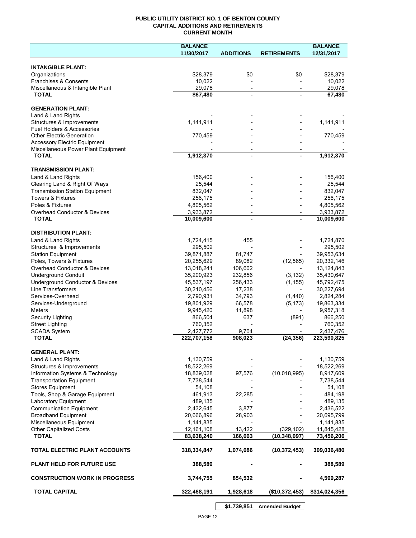## **PUBLIC UTILITY DISTRICT NO. 1 OF BENTON COUNTY CAPITAL ADDITIONS AND RETIREMENTS CURRENT MONTH**

|                                                                            | <b>BALANCE</b>          |                          |                          | <b>BALANCE</b>          |
|----------------------------------------------------------------------------|-------------------------|--------------------------|--------------------------|-------------------------|
|                                                                            | 11/30/2017              | <b>ADDITIONS</b>         | <b>RETIREMENTS</b>       | 12/31/2017              |
| <b>INTANGIBLE PLANT:</b>                                                   |                         |                          |                          |                         |
| Organizations                                                              | \$28,379                | \$0                      | \$0                      | \$28,379                |
| Franchises & Consents                                                      | 10,022                  |                          |                          | 10,022                  |
| Miscellaneous & Intangible Plant                                           | 29,078                  | $\overline{\phantom{a}}$ | $\overline{\phantom{a}}$ | 29,078                  |
| <b>TOTAL</b>                                                               | \$67,480                | $\blacksquare$           |                          | 67,480                  |
| <b>GENERATION PLANT:</b>                                                   |                         |                          |                          |                         |
| Land & Land Rights                                                         |                         |                          |                          |                         |
| Structures & Improvements                                                  | 1,141,911               |                          |                          | 1,141,911               |
| <b>Fuel Holders &amp; Accessories</b>                                      |                         |                          |                          |                         |
| <b>Other Electric Generation</b>                                           | 770,459                 |                          |                          | 770,459                 |
| <b>Accessory Electric Equipment</b><br>Miscellaneous Power Plant Equipment |                         | $\overline{\phantom{a}}$ |                          |                         |
| <b>TOTAL</b>                                                               | 1,912,370               | $\blacksquare$           |                          | 1,912,370               |
|                                                                            |                         |                          |                          |                         |
| <b>TRANSMISSION PLANT:</b>                                                 |                         |                          |                          |                         |
| Land & Land Rights                                                         | 156,400                 |                          |                          | 156,400                 |
| Clearing Land & Right Of Ways<br><b>Transmission Station Equipment</b>     | 25,544<br>832,047       |                          |                          | 25,544<br>832,047       |
| <b>Towers &amp; Fixtures</b>                                               | 256,175                 |                          |                          | 256,175                 |
| Poles & Fixtures                                                           | 4,805,562               |                          |                          | 4,805,562               |
| Overhead Conductor & Devices                                               | 3,933,872               |                          |                          | 3,933,872               |
| <b>TOTAL</b>                                                               | 10,009,600              |                          |                          | 10,009,600              |
| <b>DISTRIBUTION PLANT:</b>                                                 |                         |                          |                          |                         |
| Land & Land Rights                                                         | 1,724,415               | 455                      |                          | 1,724,870               |
| Structures & Improvements                                                  | 295,502                 |                          |                          | 295,502                 |
| <b>Station Equipment</b>                                                   | 39,871,887              | 81,747                   |                          | 39,953,634              |
| Poles, Towers & Fixtures                                                   | 20,255,629              | 89,082                   | (12, 565)                | 20,332,146              |
| Overhead Conductor & Devices                                               | 13,018,241              | 106,602                  |                          | 13,124,843              |
| <b>Underground Conduit</b>                                                 | 35,200,923              | 232,856                  | (3, 132)                 | 35,430,647              |
| Underground Conductor & Devices                                            | 45,537,197              | 256,433                  | (1, 155)                 | 45,792,475              |
| <b>Line Transformers</b>                                                   | 30,210,456              | 17,238                   |                          | 30,227,694              |
| Services-Overhead                                                          | 2,790,931<br>19,801,929 | 34,793<br>66,578         | (1,440)<br>(5, 173)      | 2,824,284<br>19,863,334 |
| Services-Underground<br><b>Meters</b>                                      | 9,945,420               | 11,898                   | $\overline{\phantom{a}}$ | 9,957,318               |
| Security Lighting                                                          | 866,504                 | 637                      | (891)                    | 866,250                 |
| <b>Street Lighting</b>                                                     | 760,352                 |                          |                          | 760,352                 |
| <b>SCADA System</b>                                                        | 2,427,772               | 9,704                    |                          | 2,437,476               |
| <b>TOTAL</b>                                                               | 222,707,158             | 908,023                  | (24, 356)                | 223,590,825             |
| <b>GENERAL PLANT:</b>                                                      |                         |                          |                          |                         |
| Land & Land Rights                                                         | 1,130,759               |                          |                          | 1,130,759               |
| Structures & Improvements                                                  | 18,522,269              |                          |                          | 18,522,269              |
| Information Systems & Technology                                           | 18,839,028              | 97,576                   | (10,018,995)             | 8,917,609               |
| <b>Transportation Equipment</b>                                            | 7,738,544               |                          |                          | 7,738,544               |
| <b>Stores Equipment</b>                                                    | 54,108                  |                          |                          | 54,108                  |
| Tools, Shop & Garage Equipment                                             | 461,913                 | 22,285                   |                          | 484,198                 |
| Laboratory Equipment                                                       | 489,135                 |                          |                          | 489,135                 |
| <b>Communication Equipment</b><br><b>Broadband Equipment</b>               | 2,432,645<br>20,666,896 | 3,877<br>28,903          |                          | 2,436,522<br>20,695,799 |
| Miscellaneous Equipment                                                    | 1,141,835               |                          |                          | 1,141,835               |
| <b>Other Capitalized Costs</b>                                             | 12,161,108              | 13,422                   | (329, 102)               | 11,845,428              |
| <b>TOTAL</b>                                                               | 83,638,240              | 166,063                  | (10, 348, 097)           | 73,456,206              |
| TOTAL ELECTRIC PLANT ACCOUNTS                                              | 318,334,847             | 1,074,086                | (10, 372, 453)           | 309,036,480             |
| <b>PLANT HELD FOR FUTURE USE</b>                                           | 388,589                 |                          |                          | 388,589                 |
| <b>CONSTRUCTION WORK IN PROGRESS</b>                                       | 3,744,755               | 854,532                  |                          | 4,599,287               |
| <b>TOTAL CAPITAL</b>                                                       | 322,468,191             | 1,928,618                | (\$10,372,453)           | \$314,024,356           |
|                                                                            |                         |                          |                          |                         |

**\$1,739,851 Amended Budget**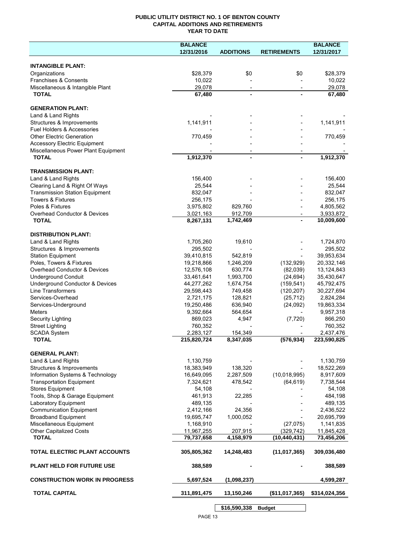# **PUBLIC UTILITY DISTRICT NO. 1 OF BENTON COUNTY CAPITAL ADDITIONS AND RETIREMENTS YEAR TO DATE**

|                                                                            | <b>BALANCE</b>          |                      |                              | <b>BALANCE</b>          |
|----------------------------------------------------------------------------|-------------------------|----------------------|------------------------------|-------------------------|
|                                                                            | 12/31/2016              | <b>ADDITIONS</b>     | <b>RETIREMENTS</b>           | 12/31/2017              |
|                                                                            |                         |                      |                              |                         |
| <b>INTANGIBLE PLANT:</b>                                                   |                         |                      |                              |                         |
| Organizations                                                              | \$28,379                | \$0                  | \$0                          | \$28,379                |
| Franchises & Consents                                                      | 10,022                  |                      |                              | 10,022                  |
| Miscellaneous & Intangible Plant                                           | 29,078                  |                      |                              | 29,078                  |
| <b>TOTAL</b>                                                               | 67,480                  |                      |                              | 67,480                  |
|                                                                            |                         |                      |                              |                         |
| <b>GENERATION PLANT:</b>                                                   |                         |                      |                              |                         |
| Land & Land Rights                                                         |                         |                      |                              |                         |
| Structures & Improvements                                                  | 1,141,911               |                      |                              | 1,141,911               |
| Fuel Holders & Accessories                                                 |                         |                      |                              |                         |
| <b>Other Electric Generation</b>                                           | 770,459                 |                      |                              | 770,459                 |
| <b>Accessory Electric Equipment</b><br>Miscellaneous Power Plant Equipment |                         |                      |                              |                         |
| <b>TOTAL</b>                                                               | 1,912,370               |                      |                              | 1,912,370               |
|                                                                            |                         |                      |                              |                         |
| <b>TRANSMISSION PLANT:</b>                                                 |                         |                      |                              |                         |
| Land & Land Rights                                                         | 156,400                 |                      |                              | 156,400                 |
| Clearing Land & Right Of Ways                                              | 25,544                  |                      |                              | 25,544                  |
| <b>Transmission Station Equipment</b>                                      | 832,047                 |                      |                              | 832,047                 |
| <b>Towers &amp; Fixtures</b>                                               | 256,175                 |                      |                              | 256,175                 |
| Poles & Fixtures                                                           | 3,975,802               | 829,760              |                              | 4,805,562               |
| Overhead Conductor & Devices                                               | 3,021,163               | 912,709              |                              | 3,933,872               |
| <b>TOTAL</b>                                                               | 8,267,131               | 1,742,469            |                              | 10,009,600              |
|                                                                            |                         |                      |                              |                         |
| <b>DISTRIBUTION PLANT:</b>                                                 |                         |                      |                              |                         |
| Land & Land Rights                                                         | 1,705,260               | 19,610               |                              | 1,724,870               |
| Structures & Improvements                                                  | 295,502                 |                      |                              | 295,502                 |
| <b>Station Equipment</b>                                                   | 39,410,815              | 542,819              |                              | 39,953,634              |
| Poles, Towers & Fixtures                                                   | 19,218,866              | 1,246,209            | (132, 929)                   | 20,332,146              |
| Overhead Conductor & Devices                                               | 12,576,108              | 630,774              | (82,039)                     | 13,124,843              |
| <b>Underground Conduit</b>                                                 | 33,461,641              | 1,993,700            | (24, 694)                    | 35,430,647              |
| Underground Conductor & Devices                                            | 44,277,262              | 1,674,754            | (159, 541)                   | 45,792,475              |
| Line Transformers                                                          | 29,598,443              | 749,458              | (120, 207)                   | 30,227,694              |
| Services-Overhead                                                          | 2,721,175               | 128,821              | (25, 712)                    | 2,824,284               |
| Services-Underground                                                       | 19,250,486              | 636,940              | (24, 092)                    | 19,863,334              |
| Meters                                                                     | 9,392,664               | 564,654              |                              | 9,957,318               |
| <b>Security Lighting</b>                                                   | 869,023                 | 4,947                | (7, 720)                     | 866,250                 |
| <b>Street Lighting</b>                                                     | 760,352                 |                      |                              | 760,352                 |
| <b>SCADA System</b>                                                        | 2,283,127               | 154,349              |                              | 2,437,476               |
| <b>TOTAL</b>                                                               | 215,820,724             | 8,347,035            | (576, 934)                   | 223,590,825             |
|                                                                            |                         |                      |                              |                         |
| <b>GENERAL PLANT:</b>                                                      |                         |                      |                              |                         |
| Land & Land Rights                                                         | 1,130,759               |                      |                              | 1,130,759               |
| Structures & Improvements                                                  | 18,383,949              | 138,320              |                              | 18,522,269              |
| Information Systems & Technology                                           | 16,649,095              | 2,287,509            | (10,018,995)                 | 8,917,609               |
| <b>Transportation Equipment</b>                                            | 7,324,621               | 478,542              | (64, 619)                    | 7,738,544               |
| <b>Stores Equipment</b>                                                    | 54,108                  |                      |                              | 54,108                  |
| Tools, Shop & Garage Equipment                                             | 461,913                 | 22,285               |                              | 484,198                 |
| Laboratory Equipment                                                       | 489,135                 |                      |                              | 489,135                 |
| <b>Communication Equipment</b>                                             | 2,412,166               | 24,356               |                              | 2,436,522               |
| <b>Broadband Equipment</b>                                                 | 19,695,747              | 1,000,052            |                              | 20,695,799              |
| Miscellaneous Equipment                                                    | 1,168,910<br>11,967,255 |                      | (27, 075)                    | 1,141,835<br>11,845,428 |
| <b>Other Capitalized Costs</b><br><b>TOTAL</b>                             | 79,737,658              | 207,915<br>4,158,979 | (329, 742)<br>(10, 440, 431) | 73,456,206              |
|                                                                            |                         |                      |                              |                         |
| TOTAL ELECTRIC PLANT ACCOUNTS                                              | 305,805,362             | 14,248,483           | (11, 017, 365)               | 309,036,480             |
| <b>PLANT HELD FOR FUTURE USE</b>                                           | 388,589                 |                      |                              | 388,589                 |
| <b>CONSTRUCTION WORK IN PROGRESS</b>                                       | 5,697,524               | (1,098,237)          |                              | 4,599,287               |
| <b>TOTAL CAPITAL</b>                                                       | 311,891,475             | 13,150,246           | (\$11,017,365)               | \$314,024,356           |
|                                                                            |                         | \$16,590,338         | <b>Budget</b>                |                         |
|                                                                            |                         |                      |                              |                         |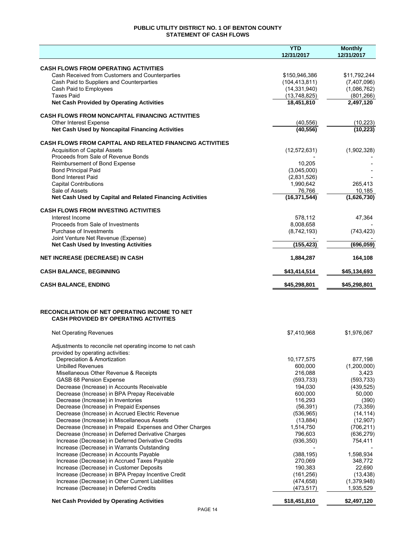# **PUBLIC UTILITY DISTRICT NO. 1 OF BENTON COUNTY STATEMENT OF CASH FLOWS**

|                                                                                                          | <b>YTD</b>                 | <b>Monthly</b>         |
|----------------------------------------------------------------------------------------------------------|----------------------------|------------------------|
|                                                                                                          | 12/31/2017                 | 12/31/2017             |
| <b>CASH FLOWS FROM OPERATING ACTIVITIES</b>                                                              |                            |                        |
| Cash Received from Customers and Counterparties                                                          | \$150,946,386              | \$11,792,244           |
| Cash Paid to Suppliers and Counterparties                                                                | (104, 413, 811)            | (7,407,096)            |
| Cash Paid to Employees                                                                                   | (14, 331, 940)             | (1,086,762)            |
| <b>Taxes Paid</b>                                                                                        | (13,748,825)               | (801, 266)             |
| <b>Net Cash Provided by Operating Activities</b>                                                         | 18,451,810                 | 2,497,120              |
|                                                                                                          |                            |                        |
| <b>CASH FLOWS FROM NONCAPITAL FINANCING ACTIVITIES</b><br>Other Interest Expense                         | (40, 556)                  | (10, 223)              |
| Net Cash Used by Noncapital Financing Activities                                                         | (40, 556)                  | (10, 223)              |
|                                                                                                          |                            |                        |
| <b>CASH FLOWS FROM CAPITAL AND RELATED FINANCING ACTIVITIES</b>                                          |                            |                        |
| <b>Acquisition of Capital Assets</b>                                                                     | (12, 572, 631)             | (1,902,328)            |
| Proceeds from Sale of Revenue Bonds                                                                      |                            |                        |
| Reimbursement of Bond Expense                                                                            | 10,205                     |                        |
| <b>Bond Principal Paid</b><br><b>Bond Interest Paid</b>                                                  | (3,045,000)<br>(2,831,526) |                        |
| <b>Capital Contributions</b>                                                                             | 1,990,642                  | 265,413                |
| Sale of Assets                                                                                           | 76,766                     | 10,185                 |
| Net Cash Used by Capital and Related Financing Activities                                                | (16, 371, 544)             | (1,626,730)            |
|                                                                                                          |                            |                        |
| <b>CASH FLOWS FROM INVESTING ACTIVITIES</b>                                                              |                            |                        |
| Interest Income<br>Proceeds from Sale of Investments                                                     | 578,112<br>8,008,658       | 47,364                 |
| Purchase of Investments                                                                                  | (8,742,193)                | (743, 423)             |
| Joint Venture Net Revenue (Expense)                                                                      |                            |                        |
| <b>Net Cash Used by Investing Activities</b>                                                             | (155, 423)                 | (696, 059)             |
| <b>NET INCREASE (DECREASE) IN CASH</b>                                                                   | 1,884,287                  | 164,108                |
| <b>CASH BALANCE, BEGINNING</b>                                                                           | \$43,414,514               | \$45,134,693           |
|                                                                                                          |                            |                        |
| <b>CASH BALANCE, ENDING</b>                                                                              | \$45,298,801               | \$45,298,801           |
| <b>RECONCILIATION OF NET OPERATING INCOME TO NET</b><br><b>CASH PROVIDED BY OPERATING ACTIVITIES</b>     |                            |                        |
| <b>Net Operating Revenues</b>                                                                            | \$7,410,968                | \$1,976,067            |
|                                                                                                          |                            |                        |
| Adjustments to reconcile net operating income to net cash<br>provided by operating activities:           |                            |                        |
| Depreciation & Amortization                                                                              | 10,177,575                 | 877,198                |
| <b>Unbilled Revenues</b>                                                                                 | 600,000                    | (1,200,000)            |
| Misellaneous Other Revenue & Receipts                                                                    | 216,088                    | 3,423                  |
| <b>GASB 68 Pension Expense</b>                                                                           | (593, 733)                 | (593, 733)             |
| Decrease (Increase) in Accounts Receivable                                                               | 194,030                    | (439, 525)             |
| Decrease (Increase) in BPA Prepay Receivable                                                             | 600,000                    | 50,000                 |
| Decrease (Increase) in Inventories                                                                       | 116,293                    | (390)                  |
| Decrease (Increase) in Prepaid Expenses                                                                  | (56, 391)                  | (73, 359)              |
| Decrease (Increase) in Accrued Electric Revenue                                                          | (536, 965)                 | (14, 114)              |
| Decrease (Increase) in Miscellaneous Assets<br>Decrease (Increase) in Prepaid Expenses and Other Charges | (13, 884)<br>1,514,750     | (12,907)<br>(706, 211) |
| Decrease (Increase) in Deferred Derivative Charges                                                       | 796,603                    | (636, 279)             |
| Increase (Decrease) in Deferred Derivative Credits                                                       | (936, 350)                 | 754,411                |
| Increase (Decrease) in Warrants Outstanding                                                              |                            |                        |
| Increase (Decrease) in Accounts Payable                                                                  | (388, 195)                 | 1,598,934              |
| Increase (Decrease) in Accrued Taxes Payable                                                             | 270,069                    | 348,772                |
| Increase (Decrease) in Customer Deposits                                                                 | 190,383                    | 22,690                 |
| Increase (Decrease) in BPA Prepay Incentive Credit                                                       | (161, 256)                 | (13, 438)              |
| Increase (Decrease) in Other Current Liabilities                                                         | (474, 658)                 | (1,379,948)            |
| Increase (Decrease) in Deferred Credits                                                                  | (473, 517)                 | 1,935,529              |
| <b>Net Cash Provided by Operating Activities</b>                                                         | \$18,451,810               | \$2,497,120            |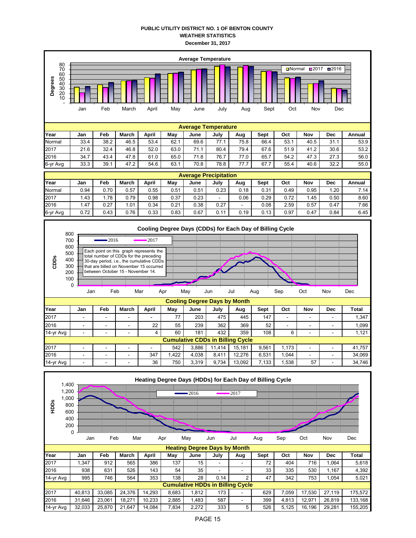## **PUBLIC UTILITY DISTRICT NO. 1 OF BENTON COUNTY WEATHER STATISTICS December 31, 2017**

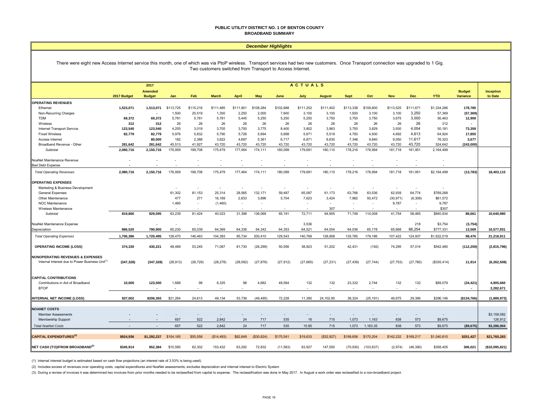#### **PUBLIC UTILITY DISTRICT NO. 1 OF BENTON COUNTY BROADBAND SUMMARY**

#### *December Highlights*

#### There were eight new Access Internet service this month, one of which was via PtoP wireless. Transport services had two new customers. Once Transport connection was upgraded to 1 Gig. Two customers switched from Transport to Access Internet.

|                                                             | <b>ACTUALS</b><br>2017   |                          |           |                          |              |              |            |           |                          |               |             |            |            |            |             |                                  |                      |
|-------------------------------------------------------------|--------------------------|--------------------------|-----------|--------------------------|--------------|--------------|------------|-----------|--------------------------|---------------|-------------|------------|------------|------------|-------------|----------------------------------|----------------------|
|                                                             | 2017 Budget              | Amended<br><b>Budget</b> | Jan       | Feb                      | <b>March</b> | <b>April</b> | May        | June      | July                     | <b>August</b> | <b>Sept</b> | Oct        | <b>Nov</b> | <b>Dec</b> | <b>YTD</b>  | <b>Budget</b><br><b>Variance</b> | Inception<br>to Date |
| <b>OPERATING REVENUES</b>                                   |                          |                          |           |                          |              |              |            |           |                          |               |             |            |            |            |             |                                  |                      |
| Ethernet                                                    | 1,523,071                | 1,513,071                | \$113,725 | \$115,216                | \$111,485    | \$111,901    | \$108,284  | \$102,688 | \$111,252                | \$111,402     | \$113,338   | \$109,800  | \$113,525  | \$111,671  | \$1,334,286 | 178,785                          |                      |
| Non-Recurring Charges                                       |                          |                          | 1,500     | 25,519                   | 1,350        | 2,250        | 2,000      | 7,600     | 3,100                    | 3,100         | 1,500       | 3,100      | 3,100      | 3,250      | 57,369      | (57, 369)                        |                      |
| TDM                                                         | 69,372                   | 69,372                   | 5,781     | 5,781                    | 5,781        | 5,445        | 5,250      | 5,250     | 5,250                    | 3,750         | 3,750       | 3,750      | 3,675      | 3,000      | 56,463      | 12,909                           |                      |
| Wireless                                                    | 312                      | 312                      | 26        | 26                       | 26           | 26           | 26         | 26        | 26                       | 26            | 26          | 26         | 26         | 26         | 312         |                                  |                      |
| Internet Transport Service                                  | 123,540                  | 123,540                  | 4,255     | 3,019                    | 3,705        | 3,700        | 3,775      | 8,400     | 3,802                    | 3,963         | 3,750       | 3,829      | 3,930      | 4,054      | 50,181      | 73,359                           |                      |
| <b>Fixed Wireless</b>                                       | 82,779                   | 82,779                   | 5,976     | 5,832                    | 5,790        | 5,726        | 5,694      | 5,698     | 5,671                    | 5,519         | 4,783       | 4,930      | 4,692      | 4,613      | 64,924      | 17,855                           |                      |
| Access Internet                                             |                          | 80,000                   | 182       | 2.388                    | 3,622        | 4,697        | 5,361      | 6,717     | 6.871                    | 8,630         | 7,348       | 9,840      | 9,050      | 11,617     | 76,323      | 3,677                            |                      |
| Broadband Revenue - Other                                   | 281.642                  | 281,642                  | 45,513    | 41.927                   | 43.720       | 43.720       | 43,720     | 43.720    | 43.720                   | 43,720        | 43.720      | 43.720     | 43.720     | 43.720     | 524.642     | (243,000)                        |                      |
| Subtotal                                                    | 2,080,716                | 2,150,716                | 176,959   | 199,708                  | 175,479      | 177,464      | 174,111    | 180,099   | 179,691                  | 180,110       | 178,216     | 178,994    | 181,718    | 181,951    | 2,164,499   |                                  |                      |
| NoaNet Maintenance Revenue                                  |                          |                          |           |                          |              |              |            |           |                          |               |             |            |            |            |             |                                  |                      |
| <b>Bad Debt Expense</b>                                     |                          |                          |           |                          |              |              |            |           |                          |               |             |            |            |            |             |                                  |                      |
| <b>Total Operating Revenues</b>                             | 2,080,716                | 2,150,716                | 176,959   | 199,708                  | 175,479      | 177,464      | 174,111    | 180,099   | 179,691                  | 180,110       | 178,216     | 178,994    | 181,718    | 181,951    | \$2,164,499 | (13, 783)                        | 18,403,115           |
| <b>OPERATING EXPENSES</b>                                   |                          |                          |           |                          |              |              |            |           |                          |               |             |            |            |            |             |                                  |                      |
| Marketing & Business Development                            |                          |                          |           | ٠                        |              |              |            |           | ٠                        |               |             |            |            | ٠          |             |                                  |                      |
| General Expenses                                            |                          |                          | 61,302    | 81,153                   | 25,314       | 28,565       | 132,171    | 59,487    | 65,087                   | 61,173        | 63,766      | 63,536     | 62,939     | 64,774     | \$769,268   |                                  |                      |
| Other Maintenance                                           |                          |                          | 477       | 271                      | 16,169       | 2,833        | 3,896      | 5.704     | 7,623                    | 3,424         | 7,982       | 50,472     | (30, 971)  | (6, 309)   | \$61,572    |                                  |                      |
| NOC Maintenance                                             |                          |                          | 1,460     | $\blacksquare$           | (1,460)      |              |            |           | $\overline{\phantom{a}}$ | $\sim$        |             |            | 9,787      | $\sim$     | 9,787       |                                  |                      |
| Wireless Maintenance                                        |                          |                          |           |                          |              |              |            |           |                          | 307           |             |            |            |            | \$307       |                                  |                      |
| Subtotal                                                    | 819,866                  | 929,595                  | 63,239    | 81,424                   | 40,023       | 31,398       | 136,068    | 65,191    | 72,711                   | 64,905        | 71,749      | 114,008    | 41,754     | 58,465     | \$840,934   | 88,661                           | 10,640,980           |
| NoaNet Maintenance Expense                                  | $\overline{\phantom{a}}$ | $\overline{\phantom{a}}$ |           | $\sim$                   | ÷            |              |            | $\sim$    | 3,536                    | $\sim$        |             |            | $\sim$     | 218        | \$3,754     | (3,754)                          |                      |
| Depreciation                                                | 886,520                  | 790,900                  | 65,230    | 65,039                   | 64,369       | 64,336       | 64,342     | 64,353    | 64,521                   | 64,004        | 64,036      | 65,178     | 65,668     | 66,254     | \$777,331   | 13,569                           | 10,577,931           |
| <b>Total Operating Expenses</b>                             | 1,706,386                | 1,720,495                | 128,470   | 146,463                  | 104,393      | 95,734       | 200,410    | 129,543   | 140,768                  | 128,908       | 135,785     | 179,186    | 107,422    | 124,937    | \$1,622,019 | 98,476                           | 21,218,911           |
| <b>OPERATING INCOME (LOSS)</b>                              | 374,330                  | 430,221                  | 48,489    | 53,245                   | 71,087       | 81,730       | (26, 299)  | 50,556    | 38,923                   | 51,202        | 42,431      | (192)      | 74,295     | 57,014     | \$542,480   | (112, 259)                       | (2,815,796)          |
| <b>NONOPERATING REVENUES &amp; EXPENSES</b>                 |                          |                          |           |                          |              |              |            |           |                          |               |             |            |            |            |             |                                  |                      |
| Internal Interest due to Power Business Unit <sup>(1)</sup> | (347, 328)               | (347, 328)               | (28, 913) | (28, 729)                | (28, 278)    | (28,092)     | (27, 878)  | (27, 912) | (27, 665)                | (27, 231)     | (27, 439)   | (27, 744)  | (27, 753)  | (27,780)   | (\$335,414) | 11,914                           | (6, 262, 508)        |
|                                                             |                          |                          |           |                          |              |              |            |           |                          |               |             |            |            |            |             |                                  |                      |
| <b>CAPITAL CONTRIBUTIONS</b>                                |                          |                          |           |                          |              |              |            |           |                          |               |             |            |            |            |             |                                  |                      |
| Contributions in Aid of Broadband                           | 10,000                   | 123,500                  | 1,688     | 98                       | 6,325        | 98           | 4,682      | 49,584    | 132                      | 132           | 23,332      | 2,744      | 132        | 132        | \$89,079    | (34, 421)                        | 4,905,660            |
| <b>BTOP</b>                                                 |                          |                          |           |                          |              |              |            |           |                          |               |             |            |            |            |             | $\overline{\phantom{a}}$         | 2,282,671            |
| <b>INTERNAL NET INCOME (LOSS)</b>                           | \$37,002                 | \$206,393                | \$21,264  | 24,613                   | 49,134       | 53,736       | (49, 495)  | 72,228    | 11,390                   | 24,102.85     | 38,324      | (25, 191)  | 46,675     | 29,366     | \$296,146   | (\$134,766]                      | (1,889,973)          |
|                                                             |                          |                          |           |                          |              |              |            |           |                          |               |             |            |            |            |             |                                  |                      |
| <b>NOANET COSTS</b>                                         |                          |                          |           |                          |              |              |            |           |                          |               |             |            |            |            |             |                                  |                      |
| <b>Member Assessments</b>                                   |                          |                          |           | $\overline{\phantom{a}}$ |              |              |            |           |                          |               |             |            |            |            |             |                                  | \$3,159,092          |
| <b>Membership Support</b>                                   |                          |                          | 657       | 522                      | 2,842        | 24           | 717        | 535       | 16                       | 715           | 1,073       | 1,163      | 838        | 573        | \$9,675     |                                  | 126,912              |
| <b>Total NoaNet Costs</b>                                   |                          |                          | 657       | 522                      | 2,842        | 24           | 717        | 535       | 15.85                    | 715           | 1,073       | 1,163.35   | 838        | 573        | \$9,675     | (\$9,675)                        | \$3,286,004          |
| <b>CAPITAL EXPENDITURES(3)</b>                              | \$924,936                | \$1,292,237              | \$104,165 | \$55,558                 | (\$14,493)   | \$82,849     | (\$30,824) | \$175,541 | \$19,633                 | (S32, 927)    | \$199,656   | \$170,204  | \$142,232  | \$169,217  | \$1,040,810 | \$251,427                        | \$21,760,283         |
| NET CASH (TO)/FROM BROADBAND <sup>(2)</sup>                 | \$345.914                | \$52,384                 | \$10,585  | 62.302                   | 153.432      | 63,292       | 72,832     | (11,583)  | 83,927                   | 147,550       | (70, 930)   | (103, 637) | (2,974)    | (46, 390)  | \$358,405   | 306,021                          | (\$10,095,821)       |

(1) Internal interest budget is estimated based on cash flow projections (an interest rate of 3.53% is being used).

(2) Includes excess of revenues over operating costs, capital expenditures and NoaNet assessments; excludes depreciation and internal interest to Electric System

(3) During a review of invoices it was determined two invoices from prior months needed to be reclassified from capital to expense. The reclassification was done in May 2017. In August a work order was reclassified to a no